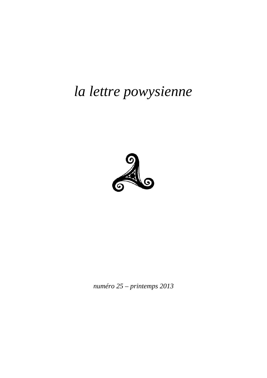# *la lettre powysienne*



*numéro 25 – printemps 2013*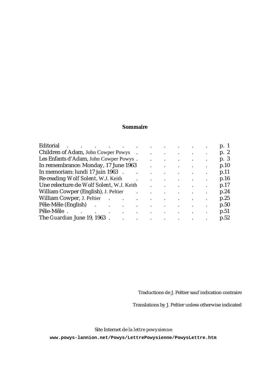## **Sommaire**

| Editorial                                                                                                      |                                   |                                                                                                                 |  |                                                                                                                                                                                                                                           | $\mathbf{A}$ and $\mathbf{A}$ are $\mathbf{A}$ . The set of $\mathbf{A}$ |           | p. 1 |
|----------------------------------------------------------------------------------------------------------------|-----------------------------------|-----------------------------------------------------------------------------------------------------------------|--|-------------------------------------------------------------------------------------------------------------------------------------------------------------------------------------------------------------------------------------------|--------------------------------------------------------------------------|-----------|------|
| Children of Adam, John Cowper Powys                                                                            |                                   |                                                                                                                 |  | $\mathbf{r}^{\prime}$ , and $\mathbf{r}^{\prime}$ , and $\mathbf{r}^{\prime}$ , and $\mathbf{r}^{\prime}$ , and $\mathbf{r}^{\prime}$                                                                                                     |                                                                          |           | p. 2 |
| Les Enfants d'Adam, John Cowper Powys.                                                                         |                                   |                                                                                                                 |  | $\mathbf{r}^{\prime}$ , and $\mathbf{r}^{\prime}$ , and $\mathbf{r}^{\prime}$ , and $\mathbf{r}^{\prime}$ , and $\mathbf{r}^{\prime}$                                                                                                     |                                                                          |           | p. 3 |
| In remembrance: Monday, 17 June 1963                                                                           |                                   |                                                                                                                 |  | and the contract of the contract of the contract of the contract of the contract of the contract of the contract of                                                                                                                       |                                                                          |           | p.10 |
| In memoriam: lundi 17 juin 1963.                                                                               |                                   |                                                                                                                 |  | $\mathbf{r} = \mathbf{r} \cdot \mathbf{r}$ , where $\mathbf{r} = \mathbf{r} \cdot \mathbf{r}$                                                                                                                                             |                                                                          |           | p.11 |
| Re-reading Wolf Solent, W.J. Keith                                                                             |                                   |                                                                                                                 |  | $\mathbf{r} = \mathbf{r} \cdot \mathbf{r}$ , where $\mathbf{r} = \mathbf{r} \cdot \mathbf{r}$                                                                                                                                             |                                                                          | $\bullet$ | p.16 |
| Une relecture de Wolf Solent, W.J. Keith                                                                       |                                   |                                                                                                                 |  | $\mathcal{L}^{\mathcal{A}}$ . The contract of the contract of the contract of the contract of the contract of the contract of the contract of the contract of the contract of the contract of the contract of the contract of the contrac |                                                                          |           | p.17 |
| William Cowper (English), J. Peltier                                                                           |                                   |                                                                                                                 |  | $\mathbf{r}^{\prime}$ , and $\mathbf{r}^{\prime}$ , and $\mathbf{r}^{\prime}$ , and $\mathbf{r}^{\prime}$ , and $\mathbf{r}^{\prime}$                                                                                                     |                                                                          |           | p.24 |
|                                                                                                                |                                   |                                                                                                                 |  |                                                                                                                                                                                                                                           |                                                                          |           | p.25 |
| Pêle-Mêle (English) and a control of the control of the control of the control of the control of the control o |                                   |                                                                                                                 |  |                                                                                                                                                                                                                                           |                                                                          |           | p.50 |
| Pêle-Mêle.                                                                                                     | and the state of the state of the | the contract of the contract of the contract of the contract of the contract of the contract of the contract of |  |                                                                                                                                                                                                                                           |                                                                          |           | p.51 |
| The Guardian June 19, 1963.                                                                                    |                                   |                                                                                                                 |  | $\mathcal{L}^{\mathcal{A}}$ . The contribution of the contribution of the contribution of $\mathcal{L}^{\mathcal{A}}$                                                                                                                     |                                                                          |           | p.52 |
|                                                                                                                |                                   |                                                                                                                 |  |                                                                                                                                                                                                                                           |                                                                          |           |      |

Traductions de J. Peltier sauf indication contraire

Translations by J. Peltier unless otherwise indicated

Site Internet de *la lettre powysienne*: **www.powys-lannion.net/Powys/LettrePowysienne/PowysLettre.htm**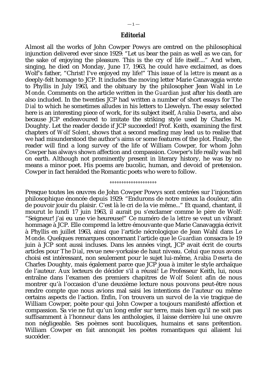### **Editorial**

Almost all the works of John Cowper Powys are centred on the philosophical injunction delivered ever since 1929: "Let us bear the pain as well as we can, for the sake of enjoying the pleasure. This is the cry of life itself...." And when, singing, he died on Monday, June 17, 1963, he could have exclaimed, as does Wolf's father, "Christ! I've enjoyed my life!" This issue of *la lettre* is meant as a deeply-felt homage to JCP. It includes the moving letter Marie Canavaggia wrote to Phyllis in July 1963, and the obituary by the philosopher Jean Wahl in *Le Monde*. Comments on the article written in the *Guardian* just after his death are also included. In the twenties JCP had written a number of short essays for *The Dial* to which he sometimes alludes in his letters to Llewelyn. The essay selected here is an interesting piece of work, for its subject itself, *Arabia Deserta*, and also because JCP endeavoured to imitate the striking style used by Charles M. Doughty. Let the reader decide if JCP succeeded! Prof. Keith, examining the first chapters of *Wolf Solent*, shows that a second reading may lead us to realise that we had misunderstood the author's aims or some features of the plot. Finally, the reader will find a long survey of the life of William Cowper, for whom John Cowper has always shown affection and compassion. Cowper's life really was hell on earth. Although not prominently present in literary history, he was by no means a minor poet. His poems are bucolic, human, and devoid of pretension. Cowper in fact heralded the Romantic poets who were to follow.

#### *°°°°°°°°°°°°°°°°°°°°*

Presque toutes les œuvres de John Cowper Powys sont centrées sur l'injonction philosophique énoncée depuis 1929: "Endurons de notre mieux la douleur, afin de pouvoir jouir du plaisir. C'est là le cri de la vie même..." Et quand, chantant, il mourut le lundi 17 juin 1963, il aurait pu s'exclamer comme le père de Wolf: "Seigneur! j'ai eu une vie heureuse!" Ce numéro de *la lettre* se veut un vibrant hommage à JCP. Elle comprend la lettre émouvante que Marie Canavaggia écrivit à Phyllis en juillet 1963, ainsi que l'article nécrologique de Jean Wahl dans *Le Monde*. Quelques remarques concernant l'article que le *Guardian* consacra le 19 juin à JCP sont aussi incluses. Dans les années vingt, JCP avait écrit de courts articles pour *The Dial*, revue new-yorkaise de haut niveau. Celui que nous avons choisi est intéressant, non seulement pour le sujet lui-même, *Arabia Deserta* de Charles Doughty, mais également parce que JCP joua à imiter le style archaïque de l'auteur. Aux lecteurs de décider s'il a réussi! Le Professeur Keith, lui, nous entraîne dans l'examen des premiers chapitres de *Wolf Solent* afin de nous montrer qu'à l'occasion d'une deuxième lecture nous pouvons peut-être nous rendre compte que nous avions mal saisi les intentions de l'auteur ou même certains aspects de l'action. Enfin, l'on trouvera un survol de la vie tragique de William Cowper, poète pour qui John Cowper a toujours manifesté affection et compassion. Sa vie ne fut qu'un long enfer sur terre, mais bien qu'il ne soit pas suffisamment à l'honneur dans les anthologies, il laisse derrière lui une œuvre non négligeable. Ses poèmes sont bucoliques, humains et sans prétention. William Cowper en fait annonçait les poètes romantiques qui allaient lui succéder.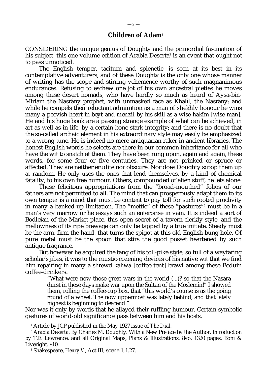## **Children of Adam**<sup>1</sup>

CONSIDERING the unique genius of Doughty and the primordial fascination of his subject, this one-volume edition of Arabia Deserta $^{\scriptscriptstyle 2}$  is an event that ought not to pass unnoticed.

The English temper, taciturn and splenetic, is seen at its best in its contemplative adventurers; and of these Doughty is the only one whose manner of writing has the scope and stirring vehemence worthy of such magnanimous endurances. Refusing to eschew one jot of his own ancestral pieties he moves among these desert nomads, who have hardly so much as heard of Aysa-bin-Miriam the Nasrâny prophet, with unmasked face as Khalîl, the Nasrâny; and while he compels their reluctant admiration as a man of *shekh*ly honour he wins many a peevish heart in *beyt* and *menzil* by his skill as a wise *hakîm* [wise man]*.* He and his huge book are a passing strange example of what can be achieved, in art as well as in life, by a certain bone-stark integrity; and there is no doubt that the so-called archaic element in his extraordinary style may easily be emphasized to a wrong tune. He is indeed no mere antiquarian raker in ancient libraries. The honest English words he selects are there in our common inheritance for all who have the wit to snatch at them. They have been rung upon, again and again, these words, for some four or five centuries. They are not prinked or spruce or affected. They are neither erudite nor obscure. Nor does Doughty scoop them up at random. He only uses the ones that lend themselves, by a kind of chemical fatality, to his own free humour. Others, compounded of alien stuff, he lets alone.

These felicitous appropriations from the "broad-mouthed" folios of our fathers are not permitted to all. The mind that can prosperously adapt them to its own temper is a mind that must be content to pay toll for such rooted proclivity in many a banked-up limitation. The "mettle" of these "pastures"<sup>3</sup> must be in a man's very marrow or he essays such an enterprise in vain. It is indeed a sort of Bodleian of the Market-place, this open secret of a tavern-clerkly style, and the mellowness of its ripe brewage can only be tapped by a true initiate. Steady must be the arm, firm the hand, that turns the spigot at this old-English bung-hole. Of pure metal must be the spoon that stirs the good posset heartened by such antique fragrance.

But however he acquired the tang of his toll-pike style, so full of a wayfaring scholar's jibes, it was to the caustic-cozening devices of his native wit that we find him repairing in many a shrewd *k*á*hwa* [coffee tent] brawl among these Beduin coffee-drinkers.

"What were now those great wars in the world (...)? so that the Nasâra durst in these days make war upon the Sultan of the Moslemîn!" I showed them, rolling the coffee-cup box, that "this world's course is as the going round of a wheel. The now uppermost was lately behind, and that lately highest is beginning to descend."

Nor was it only by words that he allayed their ruffling humour. Certain symbolic gestures of world-old significance pass between him and his hosts.

<sup>1</sup> Article by JCP published in the May 1927 issue of *The Dial*.

 $^\text{z}$  Arabia Deserta. By Charles M. Doughty. With a New Preface by the Author. Introduction by T.E. Lawrence, and all Original Maps, Plans & Illustrations. 8vo. 1320 pages. Boni & Liveright. \$10.

<sup>3</sup> Shakespeare, *Henry V*, Act III, scene 1, l.27.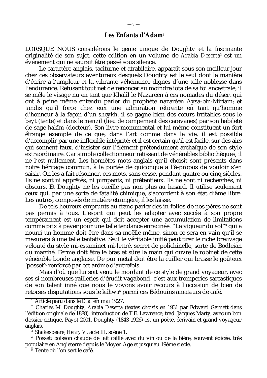## **Les Enfants d'Adam**<sup>1</sup>

LORSQUE NOUS considérons le génie unique de Doughty et la fascinante originalité de son sujet, cette édition en un volume de *Arabia Deserta*<sup>2</sup> est un événement qui ne saurait être passé sous silence.

Le caractère anglais, taciturne et atrabilaire, apparaît sous son meilleur jour chez ces observateurs aventureux desquels Doughty est le seul dont la manière d'écrire a l'ampleur et la vibrante véhémence dignes d'une telle noblesse dans l'endurance. Refusant tout net de renoncer au moindre iota de sa foi ancestrale, il se mêle le visage nu en tant que Khalîl le Nazaréen à ces nomades du désert qui ont à peine même entendu parler du prophète nazaréen Aysa-bin-Miriam; et tandis qu'il force chez eux une admiration réticente en tant qu'homme d'honneur à la façon d'un *sheykh*, il se gagne bien des cœurs irritables sous le *beyt* (tente) et dans le *menzil* (lieu de campement des caravanes) par son habileté de sage *hakîm* (docteur). Son livre monumental et lui-même constituent un fort étrange exemple de ce que, dans l'art comme dans la vie, il est possible d'accomplir par une inflexible intégrité; et il est certain qu'il est facile, sur des airs qui sonnent faux, d'insister sur l'élément prétendument archaïque de son style extraordinaire. Car simple collectionneur ratissant de vénérables bibliothèques, il ne l'est nullement. Les honnêtes mots anglais qu'il choisit sont présents dans notre héritage commun, à la portée de quiconque a l'à-propos de vouloir s'en saisir. On les a fait résonner, ces mots, sans cesse, pendant quatre ou cinq siècles. Ils ne sont ni apprêtés, ni pimpants, ni prétentieux. Ils ne sont ni recherchés, ni obscurs. Et Doughty ne les cueille pas non plus au hasard. Il utilise seulement ceux qui, par une sorte de fatalité chimique, s'accordent à son état d'âme libre. Les autres, composés de matière étrangère, il les laisse.

De tels heureux emprunts au franc-parler des in-folios de nos pères ne sont pas permis à tous. L'esprit qui peut les adapter avec succès à son propre tempérament est un esprit qui doit accepter une accumulation de limitations comme prix à payer pour une telle tendance enracinée. "La vigueur du sol"<sup>3</sup> qui a nourri un homme doit être dans sa moëlle même, sinon ce sera en vain qu'il se mesurera à une telle tentative. Seul le véritable initié peut tirer le riche breuvage velouté du style mi-estaminet mi-lettré, secret de polichinelle, sorte de Bodleian du marché. Ferme doit être le bras et sûre la main qui ouvre le robinet de cette vénérable bonde anglaise. De pur métal doit être la cuiller qui brasse le goûteux 'posset'<sup>4</sup> renforcé par cet arôme d'autrefois.

Mais d'où que lui soit venu le mordant de ce style de grand voyageur, avec ses si nombreuses railleries d'érudit vagabond, c'est aux tromperies sarcastiques de son talent inné que nous le voyons avoir recours à l'occasion de bien de retorses disputations sous le *káhwa*<sup>5</sup> parmi ces Bédouins amateurs de café.

<sup>5</sup> Tente où l'on sert le café.

<sup>1</sup> Article paru dans le *Dial* en mai 1927.

<sup>2</sup> Charles M. Doughty, *Arabia Deserta* (textes choisis en 1931 par Edward Garnett dans l'édition originale de 1888)*,* introduction de T.E. Lawrence, trad. Jacques Marty, avec un bon dossier critique, Payot 2001. Doughty (1843-1926) est un poète, écrivain et grand voyageur anglais.

<sup>3</sup> Shakespeare, *Henry V*, acte III, scène 1.

<sup>4</sup> Posset: boisson chaude de lait caillé avec du vin ou de la bière, souvent épicée, très populaire en Angleterre depuis le Moyen Age et jusqu'au 19ème siècle.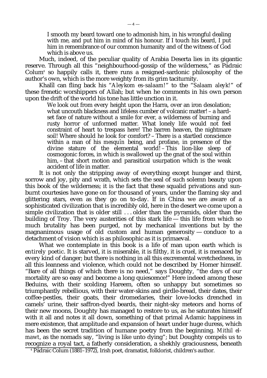I smooth my beard toward one to admonish him, in his wrongful dealing with me, and put him in mind of his honour. If I touch his beard, I put him in remembrance of our common humanity and of the witness of  $\bar{G}$ od which is above us.

Much, indeed, of the peculiar quality of Arabia Deserta lies in its gigantic reserve. Through all this "neighbourhood-gossip of the wilderness," as Pádraic Colum<sup>4</sup> so happily calls it, there runs a resigned-sardonic philosophy of the author's own, which is the more weighty from its grim taciturnity.

Khalîl can fling back his "*Aleykom es-salaam!*" to the "*Salaam aleyk!*" of these frenetic worshippers of Allah; but when he comments in his own person upon the drift of the world his tone has little unction in it.

We look out from every height upon the Harra, over an iron desolation; what uncouth blackness and lifeless cumber of volcanic matter! - a hardset face of nature without a smile for ever, a wilderness of burning and rusty horror of unformed matter. What lonely life would not feel constraint of heart to trespass here! The barren heaven, the nightmare soil! Where should he look for comfort? – There is a startled conscience within a man of his *mesquîn* being, and profane, in presence of the divine stature of the elemental world! – This lion-like sleep of cosmogonic forces, in which is swallowed up the gnat of the soul within him, – that short motion and parasitical usurpation which is the weak accident of life in matter.

It is not only the stripping away of everything except hunger and thirst, sorrow and joy, pity and wrath, which sets the seal of such solemn beauty upon this book of the wilderness; it is the fact that these squalid privations and sunburnt courtesies have gone on for thousand of years, under the flaming sky and glittering stars, even as they go on to-day. If in China we are aware of a sophisticated civilization that is incredibly old, here in the desert we come upon a simple civilization that is older still . . . older than the pyramids, older than the building of Troy. The very austerities of this stark life  $\sim$  this life from which so much brutality has been purged, not by mechanical inventions but by the magnanimous usage of old custom and human generosity — conduce to a detachment of vision which is as philosophic as it is primaeval.

What we contemplate in this book is a life of man upon earth which is *entirely poetic*. It is starved, it is miserable, it is filthy, it is cruel, it is menaced by every kind of danger; but there is nothing in all this excremental wretchedness, in all this leanness and violence, which could not be described by Homer himself. "Bare of all things of which there is no need," says Doughty, "the days of our mortality are so easy and become a long quiescence!" Here indeed among these Beduins, with their scolding Hareem, often so unhappy but sometimes so triumphantly rebellious, with their water-skins and girdle-bread, their dates, their coffee-pestles, their goats, their dromedaries, their love-locks drenched in camels' urine, their saffron-dyed beards, their night-sky meteors and horns of their new moons, Doughty has managed to restore to us, as he saturates himself with it all and notes it all down, something of that primal Adamic happiness in mere existence, that amplitude and expansion of heart under huge duress, which has been the secret tradition of humane poetry from the beginning. *Mithil elmawt*, as the nomads say, "living is like unto dying"; but Doughty compels us to recognize a royal tact, a fatherly consideration, a *shekh*ly graciousness, beneath

<sup>4</sup> Pádraic Colum (1881–1972), Irish poet, dramatist, folklorist, children's author.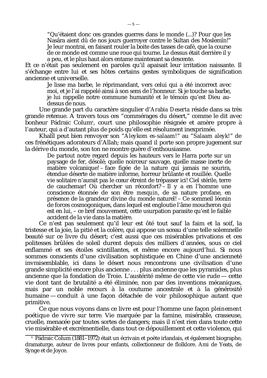"Qu'étaient donc ces grandes guerres dans le monde (...)? Pour que les Nasâra aient dû de nos jours guerroyer contre le Sultan des Moslemîn!" Je leur montrai, en faisant rouler la boite des tasses de café, que la course de ce monde est comme une roue qui tourne. Le dessus était derrière il y a peu, et le plus haut alors entame maintenant sa descente.

Et ce n'était pas seulement en paroles qu'il apaisait leur irritation naissante. Il s'échange entre lui et ses hôtes certains gestes symboliques de signification ancienne et universelle.

Je lisse ma barbe, le réprimandant, vers celui qui a été incorrect avec moi, et je l'ai rappelé ainsi à son sens de l'honneur. Si je touche sa barbe, je lui rappelle notre commune humanité et le témoin qu'est Dieu audessus de nous.

Une grande part du caractère singulier d'*Arabia Deserta* réside dans sa très grande retenue. A travers tous ces "commérages du désert," comme le dit avec bonheur Pádraic Colum®, court une philosophie résignée et amère propre à l'auteur, qui a d'autant plus de poids qu'elle est résolument inexprimée.

Khalîl peut bien renvoyer son "*Aleykom es-salaam!*" au "*Salaam aleyk!*" de ces frénétiques adorateurs d'Allah; mais quand il porte son propre jugement sur la dérive du monde, son ton ne montre guère d'enthousiasme.

De partout notre regard depuis les hauteurs vers le Harra porte sur un paysage de fer, désolé; quelle noirceur sauvage, quelle masse inerte de matière volcanique! – face figée de la nature qui jamais ne sourira, étendue déserte de matière informe, horreur brûlante et rouillée. Quelle vie solitaire n'aurait pas le cœur étreint de trépasser ici! Ciel stérile, terre de cauchemar! Où chercher un réconfort? – Il y a en l'homme une conscience étonnée de son être *mesquin*, de sa nature profane, en présence de la grandeur divine du monde naturel! – Ce sommeil léonin de forces cosmogoniques, dans lequel est engloutie l'âme moucheron qui est en lui, – ce bref mouvement, cette usurpation parasite qu'est le faible accident de la vie dans la matière.

Ce n'est pas seulement qu'il leur est ôté tout sauf la faim et la soif, la tristesse et la joie, la pitié et la colère, qui appose un sceau d'une telle solemnelle beauté sur ce livre du désert; c'est aussi que ces misérables privations et ces politesses brûlées de soleil durent depuis des milliers d'années, sous ce ciel enflammé et ses étoiles scintillantes, et même encore aujourd'hui. Si nous sommes conscients d'une civilisation sophistiquée en Chine d'une ancienneté invraisemblable, ici dans le désert nous rencontrons une civilisation d'une grande simplicité encore plus ancienne . . . plus ancienne que les pyramides, plus ancienne que la fondation de Troie. L'austérité même de cette vie rude — cette vie dont tant de brutalité a été éliminée, non par des inventions mécaniques, mais par un noble recours à la coutume ancestrale et à la générosité humaine — conduit à une façon détachée de voir philosophique autant que primitive.

Ce que nous voyons dans ce livre est pour l'homme une façon *pleinement poétique* de vivre sur terre*.* Vie marquée par la famine, misérable, crasseuse, cruelle, menacée par toutes sortes de dangers; mais il n'est rien dans toute cette vie misérable et excrémentielle, dans tout ce dépouillement et cette violence, qui

 $6$  Pádraic Colum (1881–1972) était un écrivain et poète irlandais, et également biographe, dramaturge, auteur de livres pour enfants, collectionneur de flolklore. Ami de Yeats, de Synge et de Joyce.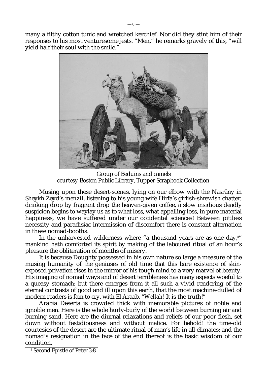many a filthy cotton tunic and wretched kerchief. Nor did they stint him of their responses to his most venturesome jests. "Men," he remarks gravely of this, "will yield half their soul with the smile."



Group of Beduins and camels *courtesy* Boston Public Library, Tupper Scrapbook Collection

Musing upon these desert-scenes, lying on our elbow with the Nasrâny in Sheykh Zeyd's *menzil*, listening to his young wife Hirfa's girlish-shrewish chatter, drinking drop by fragrant drop the heaven-given coffee, a slow insidious deadly suspicion begins to waylay us as to what loss, what appalling loss, in pure material happiness, we have suffered under our occidental sciences! Between pitiless necessity and paradisiac intermission of discomfort there is constant alternation in these nomad-booths.

In the unharvested wilderness where "a thousand years are as one day, " mankind hath comforted its spirit by making of the laboured ritual of an hour's pleasure the obliteration of months of misery.

It is because Doughty possessed in his own nature so large a measure of the musing humanity of the geniuses of old time that this bare existence of skinexposed privation rises in the mirror of his tough mind to a very marvel of beauty. His imaging of nomad ways and of desert terribleness has many aspects woeful to a queasy stomach; but there emerges from it all such a vivid rendering of the eternal contrasts of good and ill upon this earth, that the most machine-dulled of modern readers is fain to cry, with El Araab, "*Wellah!* It is the truth!"

Arabia Deserta is crowded thick with memorable pictures of noble and ignoble men. Here is the whole hurly-burly of the world between burning air and burning sand. Here are the diurnal relaxations and reliefs of our poor flesh, set down without fastidiousness and without malice. For behold! the time-old courtesies of the desert are the ultimate ritual of man's life in all climates; and the nomad's resignation in the face of the end thereof is the basic wisdom of our condition.

5 Second Epistle of Peter 3:8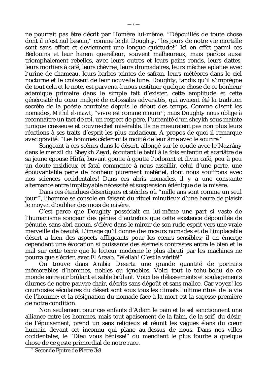ne pourrait pas être décrit par Homère lui-même. "Dépouillés de toute chose dont il n'est nul besoin," comme le dit Doughty, "les jours de notre vie mortelle sont sans effort et deviennent une longue quiétude!" Ici en effet parmi ces Bédouins et leur harem querelleur, souvent malheureux, mais parfois aussi triomphalement rebelles, avec leurs outres et leurs pains ronds, leurs dattes, leurs mortiers à café, leurs chèvres, leurs dromadaires, leurs mèches aplaties avec l'urine de chameau, leurs barbes teintes de safran, leurs météores dans le ciel nocturne et le croissant de leur nouvelle lune, Doughty, tandis qu'il s'imprègne de tout cela et le note, est parvenu à nous restituer quelque chose de ce bonheur adamique primaire dans le simple fait d'exister, cette amplitude et cette générosité du cœur malgré de colossales adversités, qui avaient été la tradition secrète de la poésie courtoise depuis le début des temps. Comme disent les nomades, *Mithil el-mawt*, "vivre est comme mourir"; mais Doughty nous oblige à reconnaître un tact de roi, un respect de père, l'urbanité d'un *sheykh* sous mainte tunique crasseuse et couvre-chef misérable. Ils ne mesuraient pas non plus leurs réactions à ses traits d'esprit les plus audacieux. A propos de quoi il remarque avec gravité: "Les hommes cèderont la moitié de leur âme avec le sourire."

Songeant à ces scènes dans le désert, allongé sur le coude avec le Nazrâny dans le *menzil* du Sheykh Zeyd, écoutant le babil à la fois enfantin et acariâtre de sa jeune épouse Hirfa, buvant goutte à goutte l'odorant et divin café, peu à peu un doute insidieux et fatal commence à nous assaillir, celui d'une perte, une épouvantable perte de bonheur purement matériel, dont nous souffrons avec nos sciences occidentales! Dans ces abris nomades, il y a une constante alternance entre impitoyable nécessité et suspension édénique de la misère.

Dans ces étendues désertiques et stériles où "mille ans sont comme un seul jour"<sup>7</sup> , l'homme se console en faisant du rituel minutieux d'une heure de plaisir le moyen d'oublier des mois de misère.

C'est parce que Doughty possédait en lui-même une part si vaste de l'humanisme songeur des génies d'autrefois que cette existence dépouillée de pénurie, sans abri aucun, s'élève dans le miroir de son rude esprit vers une vraie merveille de beauté. L'image qu'il donne des mœurs nomades et de l'implacable désert a bien des aspects affligeants pour les cœurs sensibles; il en émerge cependant une évocation si puissante des éternels contrastes entre le bien et le mal sur cette terre que le lecteur moderne le plus abruti par les machines ne pourra que s'écrier, avec El Araab, "*Wellah!* C'est la vérité!"

On trouve dans *Arabia Deserta* une grande quantité de portraits mémorables d'hommes, nobles ou ignobles. Voici tout le tohu-bohu de ce monde entre air brûlant et sable brûlant. Voici les délassements et soulagements diurnes de notre pauvre chair, décrits sans dégoût et sans malice. Car voyez! les courtoisies séculaires du désert sont sous tous les climats l'ultime rituel de la vie de l'homme; et la résignation du nomade face à la mort est la sagesse première de notre condition.

Non seulement pour ces enfants d'Adam le pain et le sel sanctionnent une alliance entre les hommes, mais tout apaisement de la faim, de la soif, du désir, de l'épuisement, prend un sens religieux et réunit les vagues élans du cœur humain devant cet inconnu qui plane au-dessus de nous. Dans nos villes occidentales, le "Dieu vous bénisse!" du mendiant le plus fourbe a quelque chose de ce geste primordial de notre race.

<sup>7</sup> Seconde Epitre de Pierre 3:8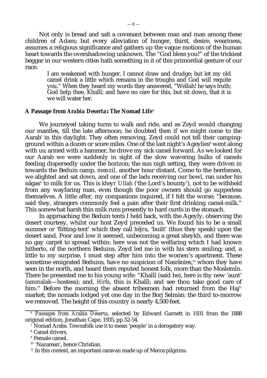Not only is bread and salt a covenant between man and man among these children of Adam; but every alleviation of hunger, thirst, desire, weariness, assumes a religious significance and gathers up the vague motions of the human heart towards the overshadowing unknown. The "God bless you!" of the trickiest beggar in our western cities hath something in it of this primordial gesture of our race.

> I am weakened with hunger, I cannot draw and drudge; but let my old camel drink a little which remains in the troughs and God will requite you." When they heard my words they answered, "Wellah! he says truth; God help thee, Khalîl; and have no care for this, but sit down, that it is we will water her.

#### **A Passage from** *Arabia Deserta***:The Nomad Life**<sup>6</sup>

We journeyed taking turns to walk and ride, and as Zeyd would changing our mantles, till the late afternoon; he doubted then if we might come to the Aarab' in this daylight. They often removing, Zeyd could not tell their campingground within a dozen or score miles. One of the last night's Ageylies<sup>s</sup> went along with us; armed with a hammer, he drove my sick camel forward. As we looked for our Aarab we were suddenly in sight of the slow wavering bulks of camels feeding dispersedly under the horizon; the sun nigh setting, they were driven in towards the Beduin camp, *menzil*, another hour distant. Come to the herdsmen, we alighted and sat down, and one of the lads receiving our bowl, ran under his nâgas<sup>9</sup> to milk for us. This is *kheyr Ullah* ('the Lord's bounty'), not to be withheld from any wayfaring man, even though the poor owners should go supperless themselves. A little after, my companions inquired, if I felt the worse; "because, said they, strangers commonly feel a pain after their first drinking camel-milk." This somewhat harsh thin milk runs presently to hard curds in the stomach.

In approaching the Beduin tents I held back, with the Ageyly, observing the desert courtesy, whilst our host Zeyd preceded us. We found his to be a small summer or 'flitting-tent' which they call *héjra*, 'built' (thus they speak) upon the desert sand. Poor and low it seemed, unbecoming a great sheykh, and there was no gay carpet to spread within: here was not the welfaring which I had known hitherto, of the northern Beduins. Zeyd led me in with his stern smiling; and, a little to my surprise, I must step after him into the women's apartment. These sometime emigrated Beduins, have no suspicion of Nasrânies,<sup>10</sup> whom they have seen in the north, and heard them reputed honest folk, more than the Moslemîn. There he presented me to his young wife: "Khalîl (said he), here is thy new 'aunt' (*ammalak*—hostess); and, *Hirfa*, this is Khalîl; and see thou take good care of him." Before the morning the absent tribesmen had returned from the Haj<sup>11</sup> market; the nomads lodged yet one day in the Borj Selmàn: the third to-morrow we removed. The height of this country is nearly 4,500 feet.

<sup>&</sup>lt;sup>6</sup> Passages from Arabia Deserta, selected by Edward Garnett in 1931 from the 1888 original edition, Jonathan Cape, 1935, pp.52-54.

<sup>&</sup>lt;sup>7</sup> Nomad Arabs. Townsfolk use it to mean 'people' in a derogatory way.

<sup>8</sup> Camel drivers.

<sup>9</sup> Female camel.

<sup>10</sup> 'Nazarean', hence Christian.

 $11$  In this context, an important caravan made up of Mecca pilgrims.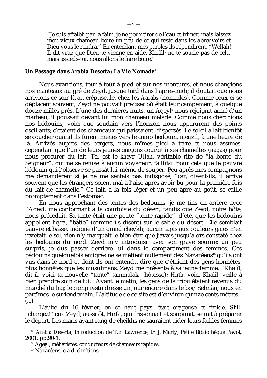"Je suis affaibli par la faim, je ne peux tirer de l'eau et trimer; mais laissez mon vieux chameau boire un peu de ce qui reste dans les abreuvoirs et Dieu vous le rendra." En entendant mes paroles ils répondirent, "Wellah! Il dit vrai; que Dieu te vienne en aide, Khalîl; ne te soucie pas de cela, mais assieds-toi, nous allons le faire boire."

#### **Un Passage dans** *Arabia Deserta***:La Vie Nomade**<sup>8</sup>

Nous avancions, tour à tour à pied et sur nos montures, et nous changions nos manteaux au gré de Zeyd, jusque tard dans l'après-midi; il doutait que nous arrivions ce soir-là au crépuscule, chez les *Aarabs* (nomades). Comme ceux-ci se déplacent souvent, Zeyd ne pouvait préciser où était leur campement, à quelque douze milles près. L'une des dernières nuits, un Ageyl<sup>,</sup> nous rejoignit armé d'un marteau; il poussait devant lui mon chameau malade. Comme nous cherchions nos bédouins, voici que soudain vers l'horizon nous apparurent des points oscillants; c'étaient des chameaux qui paissaient, dispersés. Le soleil allait bientôt se coucher quand ils furent menés vers le camp bédouin, *menzil*, à une heure de là. Arrivés auprès des bergers, nous mîmes pied à terre et nous assîmes, cependant que l'un de leurs jeunes garçons courait à ses chamelles (*nagas*) pour nous procurer du lait. Tel est le *kheyr Ullah*, véritable rite de "la bonté du Seigneur", qui ne se refuse à aucun voyageur, fallût-il pour cela que le pauvre bédouin qui l'observe se passât lui-même de souper. Peu après mes compagnons me demandèrent si je ne me sentais pas indisposé, "car, disent-ils, il arrive souvent que les étrangers soient mal à l'aise après avoir bu pour la première fois du lait de chamelle." Ce lait, à la fois léger et un peu âpre au goût, se caille promptement dans l'estomac.

En nous approchant des tentes des bédouins, je me tins en arrière avec l'Ageyl, me conformant à la courtoisie du désert, tandis que Zeyd, notre hôte, nous précédait. Sa tente était une petite "tente rapide", d'été, que les bédouins appellent *hejra*, "bâtie" (comme ils disent) sur le sable du désert. Elle semblait pauvre et basse, indigne d'un grand cheykh; aucun tapis aux couleurs gaies n'en revêtait le sol; rien n'y marquait le bien-être que j'avais jusqu'alors constaté chez les bédouins du nord. Zeyd m'y introduisit avec son grave sourire; un peu surpris, je dus passer derrière lui dans le compartiment des femmes. Ces bédouins quelquefois émigrés ne se méfient nullement des Nazaréens<sup>10</sup> qu'ils ont vus dans le nord et dont ils ont entendu dire que c'étaient des gens honnêtes, plus honnêtes que les musulmans. Zeyd me présenta à sa jeune femme: "Khalîl, dit-il, voici ta nouvelle "tante" (*ammalak*—hôtesse); *Hirfa*, voici Khalîl, veille à bien prendre soin de lui." Avant le matin, les gens de la tribu étaient revenus du marché du haj; le camp resta dressé un jour encore dans le borj Selmàn; nous en partîmes le surlendemain. L'altitude de ce site est d'environ quinze cents mètres. (...)

L'aube du 16 février, en ce haut pays, était orageuse et froide. *Shil*, "chargez!" cria Zeyd; aussitôt, Hirfa, qui frissonnait et soupirait, se mit à préparer le départ. Les maris ayant rang de cheikhs ne sauraient aider leurs faibles femmes

<sup>&</sup>lt;sup>8</sup> *Arabia Deserta*, Introduction de T.E. Lawrence, tr. J. Marty, Petite Bibliothèque Payot, 2001, pp.90-1.

<sup>9</sup> Ageyl, méharistes, conducteurs de chameaux rapides.

<sup>&</sup>lt;sup>10</sup> Nazaréens, c.à d. chrétiens.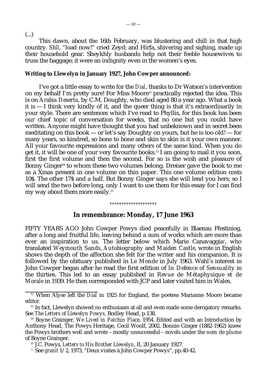(...)

This dawn, about the 16th February, was blustering and chill in that high country. *Shîl*, "load now!" cried Zeyd; and Hirfa, shivering and sighing, made up their household gear. Sheykhly husbands help not their feeble housewives to truss the baggage; it were an indignity even in the women's eyes.

## **Writing to Llewelyn in January 1927, John Cowper announced:**

I've got a little essay to write for the *Dial*, thanks to Dr Watson's intervention on my behalf I'm pretty sure! For Miss Moore<sup>12</sup> practically rejected the idea. This is on *Arabia Deserta*, by C.M. Doughty, who died aged 80 a year ago. What a book it is — I think very kindly of it, and the queer thing is that it's extraordinarily in your style. There are sentences which I've read to Phyllis, for this book has been our chief topic of conversation for weeks, that no one but you could have written. Anyone might have thought that you had unbeknown and in secret been meditating on this book — or let's say Doughty on yours, but he is too old! — for many years, so kindred, so bone to bone and skin to skin is it your own manner. All your favourite expressions and many others of the same kind. When you do get it, it will be one of your very favourite books.13 I am going to mail it you soon, first the first volume and then the second. For so is the wish and pleasure of Bonny Ginger<sup>14</sup> to whom these two volumes belong. Dreiser gave the book to me as a Xmas present in one volume on thin paper. This one volume edition costs 10\$. The other 17\$ and a half. But Bonny Ginger says she will lend you hers; so I will send the two before long, only I want to use them for this essay for I can find my way about them more easily.<sup>15</sup>

#### *°°°°°°°°°°°°°°°°°°°°*

## **In remembrance: Monday, 17 June 1963**

FIFTY YEARS AGO John Cowper Powys died peacefully in Blaenau Ffestiniog, after a long and fruitful life, leaving behind a sum of works which are more than ever an inspiration to us. The letter below which Marie Canavaggia<sup>1</sup>, who translated *Weymouth Sands*, *Autobiography* and *Maiden Castle*, wrote in English shows the depth of the affection she felt for the writer and his companion. It is followed by the obituary published in *Le Monde* in July 1963. Wahl's interest in John Cowper began after he read the first edition of *In Defence of Sensuality* in the thirties. This led to an essay published in *Revue de Métaphysique et de Morale* in 1939. He then corresponded with JCP and later visited him in Wales.

<sup>&</sup>lt;sup>12</sup> When Alyse left the *Dial* in 1925 for England, the poetess Marianne Moore became editor.

<sup>&</sup>lt;sup>13</sup> In fact, Llewelyn showed no enthusiasm at all and even made some derogatory remarks. See *The Letters of Llewelyn Powys*, Bodley Head, p.138.

<sup>&</sup>lt;sup>14</sup> Boyne Grainger, *We Lived in Patchin Place*, 1954. Edited and with an Introduction by Anthony Head, The Powys Heritage, Cecil Woolf, 2002. Bonnie Ginger (1882-1962) knew the Powys brothers well and wrote – mostly unsuccessful – novels under the *nom de plume* of Boyne Grainger.

<sup>15</sup> J.C. Powys, *Letters to His Brother Llewelyn*, II, 20 January 1927.

<sup>1</sup> See *granit* 1/2, 1973, "Deux visites à John Cowper Powys", pp.40-42.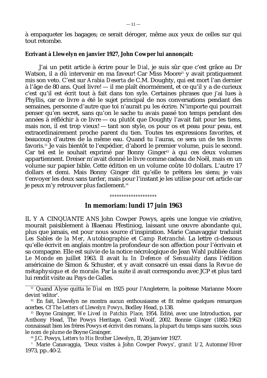à empaqueter les bagages; ce serait déroger, même aux yeux de celles sur qui tout retombe.

## **Ecrivant à Llewelyn en janvier 1927, John Cowper lui annonçait:**

J'ai un petit article à écrire pour le *Dial*, je suis sûr que c'est grâce au Dr Watson, il a dû intervenir en ma faveur! Car Miss Moore<sup>11</sup> y avait pratiquement mis son veto. C'est sur *Arabia Deserta* de C.M. Doughty, qui est mort l'an dernier à l'âge de 80 ans. Quel livre! — il me plaît énormément, et ce qu'il y a de curieux c'est qu'il est écrit tout à fait dans ton syle. Certaines phrases que j'ai lues à Phyllis, car ce livre a été le sujet principal de nos conversations pendant des semaines, personne d'autre que toi n'aurait pu les écrire. N'importe qui pourrait penser qu'en secret, sans qu'on le sache tu avais passé ton temps pendant des années à réfléchir à ce livre — ou plutôt que Doughty l'avait fait pour les tiens, mais non, il est trop vieux! — tant son style, os pour os et peau pour peau, est extraordinairement proche parent du tien. Toutes tes expressions favorites, et beaucoup d'autres de la même eau. Quand tu l'auras, ce sera un de tes livres favoris.<sup>12</sup> Je vais bientôt te l'expédier, d'abord le premier volume, puis le second. Car tel est le souhait exprimé par Bonny Ginger<sup>13</sup> à qui ces deux volumes appartiennent. Dreiser m'avait donné le livre comme cadeau de Noël, mais en un volume sur papier bible. Cette édition en un volume coûte 10 dollars. L'autre 17 dollars et demi. Mais Bonny Ginger dit qu'elle te prêtera les siens; je vais t'envoyer les deux sans tarder, mais pour l'instant je les utilise pour cet article car je peux m'y retrouver plus facilement.<sup>14</sup>

## **In memoriam: lundi 17 juin 1963**

*°°°°°°°°°°°°°°°°°°°°*

IL Y A CINQUANTE ANS John Cowper Powys, après une longue vie créative, mourait paisiblement à Blaenau Ffestiniog, laissant une œuvre abondante qui, plus que jamais, est pour nous source d'inspiration. Marie Canavaggia<sup>1</sup> traduisit *Les Sables de la Mer*, *Autobiographie* et *Camp Retranché*. La lettre ci-dessous qu'elle écrivit en anglais montre la profondeur de son affection pour l'écrivain et sa compagne. Elle est suivie de la notice nécrologique de Jean Wahl publiée dans *Le Monde* en juillet 1963. Il avait lu *In Defence of Sensuality* dans l'édition américaine de Simon & Schuster, et y avait consacré un essai dans la *Revue de métaphysique et de morale*. Par la suite il avait correspondu avec JCP et plus tard lui rendit visite au Pays de Galles.

<sup>14</sup> J.C. Powys, *Letters to His Brother Llewelyn*, II, 20 janvier 1927.

<sup>&</sup>lt;sup>11</sup> Quand Alyse quitta le *Dial* en 1925 pour l'Angleterre, la poètesse Marianne Moore devint 'editor'.

<sup>&</sup>lt;sup>12</sup> En fait, Llewelyn ne montra aucun enthousiasme et fit même quelques remarques acerbes. Cf *The Letters of Llewelyn Powys*, Bodley Head, p.138.

<sup>13</sup> Boyne Grainger, *We Lived in Patchin Place*, 1954. Edité, avec une Introduction, par Anthony Head, The Powys Heritage, Cecil Woolf, 2002. Bonnie Ginger (1882-1962) connaissait bien les frères Powys et écrivit des romans, la plupart du temps sans succès, sous le *nom de plume* de Boyne Grainger.

<sup>1</sup> Marie Canavaggia, 'Deux visites à John Cowper Powys', *granit* 1/2, Automne/Hiver 1973, pp..40-2.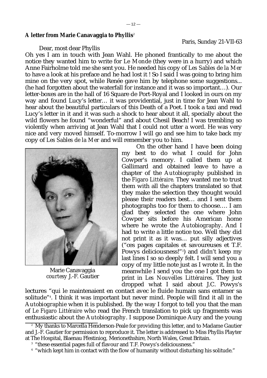#### **A letter from Marie Canavaggia to Phyllis**<sup>2</sup>

#### Dear, most dear Phyllis

Oh yes I am in touch with Jean Wahl. He phoned frantically to me about the notice they wanted him to write for *Le Monde* (they were in a hurry) and which Anne Fairholme told me she sent you. He needed his copy of *Les Sables de la Mer* to have a look at his preface and he had lost it ! So I said I was going to bring him mine on the very spot, while Renée gave him by telephone some suggestions... (he had forgotten about the waterfall for instance and it was so important…). Our letter-boxes are in the hall of 16 Square de Port-Royal and I looked in ours on my way and found Lucy's letter… it was providential, just in time for Jean Wahl to hear about the beautiful particulars of this Death of a Poet. I took a taxi and read Lucy's letter in it and it was such a shock to hear about it all, specially about the wild flowers he found "wonderful" and about Chesil Beach! I was trembling so violently when arriving at Jean Wahl that I could not utter a word. He was very nice and very moved himself. To-morrow I will go and see him to take back my copy of *Les Sables de la Mer* and will remember you to him.



Marie Canavaggia *courtesy* J.-F. Gautier

On the other hand I have been doing my best to do what I could for John Cowper's memory. I called them up at Gallimard and obtained leave to have a chapter of the *Autobiography* published in the *Figaro Littéraire.* They wanted me to trust them with all the chapters translated so that they make the selection they thought would please their readers best… and I sent them photographs too for them to choose…. I am glad they selected the one where John Cowper sits before his American home where he wrote the *Autobiography*. And I had to write a little notice too. Well they did not print it as it was… put silly adjectives ("ces pages capitales et savoureuses et T.F. Powys deliciousness!"<sup>3</sup> ) and didn't keep my last lines I so so deeply felt. I will send you a copy of my little note just as I wrote it. In the meanwhile I send you the one I got them to print in *Les Nouvelles Littéraires*. They just dropped what I said about J.C. Powys's

lectures "qui le maintenaient en contact avec le fluide humain sans entamer sa solitude"<sup>4</sup> . I think it was important but never mind. People will find it all in the *Autobiographie* when it is published. By the way I forgot to tell you that the man of *Le Figaro Littéraire* who read the French translation to pick up fragments was enthusiastic about the *Autobiography*. I suppose Dominique Aury and the young

<sup>2</sup> My thanks to Marcella Henderson-Peale for providing this letter, and to Madame Gautier and J.-F. Gautier for permission to reproduce it. The letter is addressed to Miss Phyllis Playter at The Hospital, Blaenau Ffestiniog, Merionethshire, North Wales, Great Britain.

<sup>&</sup>lt;sup>3</sup> "these essential pages full of flavour and T.F. Powys's deliciousness."

<sup>&</sup>lt;sup>4</sup> "which kept him in contact with the flow of humanity without disturbing his solitude."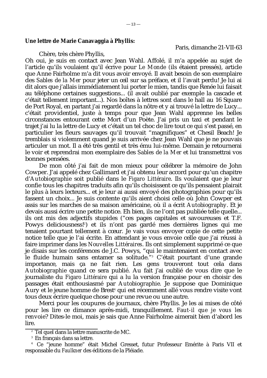#### **Une lettre de Marie Canavaggia à Phyllis:**

Paris, dimanche 21-VII-63

Oh oui, je suis en contact avec Jean Wahl. Affolé, il m'a appelée au sujet de l'article qu'ils voulaient qu'il écrive pour *Le Monde (*ils étaient pressés), article que Anne Fairholme m'a dit vous avoir envoyé. Il avait besoin de son exemplaire des *Sables de la Mer* pour jeter un œil sur sa préface, et il l'avait perdu! Je lui ai dit alors que j'allais immédiatement lui porter le mien, tandis que Renée lui faisait au téléphone certaines suggestions... (il avait oublié par exemple la cascade et c'était tellement important...). Nos boîtes à lettres sont dans le hall au 16 Square de Port Royal, en partant j'ai regardé dans la nôtre et y ai trouvé la lettre de Lucy... c'était providentiel, juste à temps pour que Jean Wahl apprenne les belles circonstances entourant cette Mort d'un Poète. J'ai pris un taxi et pendant le trajet j'ai lu la lettre de Lucy et c'était un tel choc de lire tout ce qui s'est passé, en particulier les fleurs sauvages qu'il trouvait "magnifiques" et Chesil Beach! Je tremblais si violemment quand je suis arrivée chez Jean Wahl que je ne pouvais articuler un mot. Il a été très gentil et très ému lui-même. Demain je retournerai le voir et reprendrai mon exemplaire des *Sables de la Mer* et lui transmettrai vos bonnes pensées.

De mon côté j'ai fait de mon mieux pour célébrer la mémoire de John Cowper. J'ai appelé chez Gallimard et j'ai obtenu leur accord pour qu'un chapitre d'*Autobiographie* soit publié dans le *Figaro Littéraire*. Ils voulaient que je leur confie tous les chapitres traduits afin qu'ils choisissent ce qu'ils pensaient plairait le plus à leurs lecteurs... et je leur ai aussi envoyé des photographies pour qu'ils fassent un choix... Je suis contente qu'ils aient choisi celle où John Cowper est assis sur les marches de sa maison américaine, où il a écrit *Autobiography*. Et je devais aussi écrire une petite notice. Eh bien, ils ne l'ont pas publiée telle quelle... ils ont mis des adjectifs stupides ("ces pages capitales et savoureuses et T.F. Powys deliciousness!<sup>2</sup> ) et ils n'ont pas gardé mes dernières lignes qui me tenaient pourtant tellement à cœur. Je vais vous envoyer copie de cette petite notice telle que je l'ai écrite. En attendant je vous envoie celle que j'ai réussi à faire imprimer dans les *Nouvelles Littéraires*. Ils ont simplement supprimé ce que je disais sur les conférences de J.C. Powys, "qui le maintenaient en contact avec le fluide humain sans entamer sa solitude."<sup>3</sup> C'était pourtant d'une grande importance, mais ça ne fait rien. Les gens trouveront tout cela dans *Autobiographie* quand ce sera publié. Au fait j'ai oublié de vous dire que le journaliste du *Figaro Littéraire* qui a lu la version française pour en choisir des passages était enthousiasmé par *Autobiographie.* Je suppose que Dominique Aury et le jeune homme de Brest<sup>4</sup> qui est récemment allé vous rendre visite vont tous deux écrire quelque chose pour une revue ou une autre.

Merci pour les coupures de journaux, chère Phyllis. Je les ai mises de côté pour les lire ce dimance après-midi, tranquillement. *Faut-il que je vous les renvoie*? Dites-le moi, mais je sais que Anne Fairholme aimerait bien d'abord les lire.

<sup>&</sup>lt;sup>2</sup> Tel quel dans la lettre manuscrite de MC.

<sup>3</sup> En français dans sa lettre.

<sup>4</sup> Ce "jeune homme" était Michel Gresset, futur Professeur Emérite à Paris VII et responsable du *Faulkner* des éditions de la Pléiade.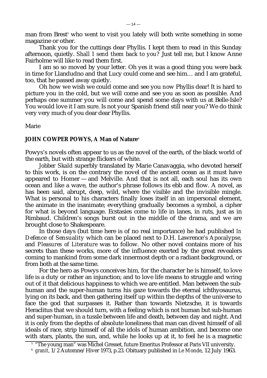man from Brest<sup>s</sup> who went to visit you lately will both write something in some magazine or other.

Thank you for the cuttings dear Phyllis. I kept them to read in this Sunday afternoon, quietly. *Shall I send them back to you?* Just tell me, but I know Anne Fairholme will like to read them first.

I am so so moved by your letter. Oh yes it was a good thing you were back in time for Llandudno and that Lucy could come and see him… and I am grateful, too, that he passed away quietly.

Oh how we wish we could come and see you *now* Phyllis dear! It is hard to picture you in the cold, but we will come and see you as soon as possible. And perhaps one summer you will come and spend some days with us at Belle-Isle? You would love it I am sure. Is not your Spanish friend still near you? We do think very very much of you dear dear Phyllis.

Marie

#### **JOHN COWPER POWYS, A Man of Nature**<sup>6</sup>

Powys's novels often appear to us as the novel of the earth, of the black world of the earth, but with strange flickers of white.

*Jobber Skald* superbly translated by Marie Canavaggia, who devoted herself to this work, is on the contrary the novel of the ancient ocean as it must have appeared to Homer — and Melville. And that is not all, each soul has its own ocean and like a wave, the author's phrase follows its ebb and flow. A novel, as has been said, abrupt, deep, wild, where the visible and the invisible mingle. What is personal to his characters finally loses itself in an impersonal element, the animate in the inanimate; everything gradually becomes a symbol, a cipher for what is beyond language. Ecstasies come to life in lanes, in ruts, just as in Rimbaud. Children's songs burst out in the middle of the drama, and we are brought close to Shakespeare.

In those days (but time here is of no real importance) he had published *In Defence of Sensuality* which can be placed next to D.H. Lawrence's *Apocalypse,* and *Pleasures of Literature* was to follow. No other novel contains more of his secrets than these works, more of the influence exerted by the great revealers coming to mankind from some dark innermost depth or a radiant background, or from both at the same time.

For the hero as Powys conceives him, for the character he is himself, to love life is a duty or rather an injunction; and to love life means to struggle and wring out of it that delicious happiness to which we are entitled. Man between the subhuman and the super-human turns his gaze towards the eternal ichthyosaurus, lying on its back, and then gathering itself up within the depths of the universe to face the god that surpasses it. Rather than towards Nietzsche, it is towards Heraclitus that we should turn, with a feeling which is not human but sub-human and super-human, in a tussle between life and death, between day and night. And it is only from the depths of absolute loneliness that man can divest himself of all ideals of race, strip himself of all the idols of human ambition, and become one with stars, plants, the sun, and, while he looks up at it, to feel he is a magnetic

<sup>&</sup>lt;sup>5</sup> "The young man" was Michel Gresset, future Emeritus Professor at Paris VII university.

<sup>6</sup> *granit*, 1/2 Automne/Hiver 1973, p.23. Obituary published in *Le Monde*, 12 July 1963.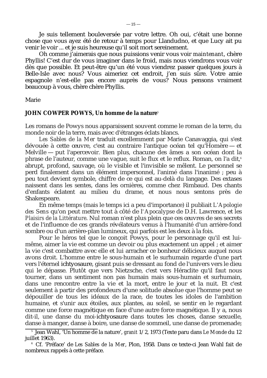Je suis tellement bouleversée par votre lettre. Oh oui, c'était une bonne chose que vous ayez été de retour à temps pour Llandudno, et que Lucy ait pu venir le voir ... et je suis heureuse qu'il soit mort sereinement.

Oh comme j'aimerais que nous puissions venir vous voir *maintenant*, chère Phyllis! C'est dur de vous imaginer dans le froid, mais nous viendrons vous voir dès que possible. Et peut-être qu'un été vous viendrez passer quelques jours à Belle-Isle avec nous? Vous aimeriez cet endroit, j'en suis sûre. Votre amie espagnole n'est-elle pas encore auprès de vous? Nous pensons vraiment beaucoup à vous, chère chère Phyllis.

Marie

## **JOHN COWPER POWYS, Un homme de la nature**<sup>5</sup>

Les romans de Powys nous apparaissent souvent comme le roman de la terre, du monde noir de la terre, mais avec d'étranges éclats blancs.

*Les Sables de la Mer* traduit excellemment par Marie Canavaggia, qui s'est dévouée à cette œuvre, c'est au contraire l'antique océan tel qu'Homère — et Melville — put l'apercevoir. Bien plus, chacune des âmes a son océan dont la phrase de l'auteur, comme une vague, suit le flux et le reflux. Roman, on l'a dit,<sup>6</sup> abrupt, profond, sauvage, où le visible et l'invisible se mêlent. Le personnel se perd finalement dans un élément impersonnel, l'animé dans l'inanimé ; peu à peu tout devient symbole, chiffre de ce qui est au-delà du langage. Des extases naissent dans les sentes, dans les ornières, comme chez Rimbaud. Des chants d'enfants éclatent au milieu du drame, et nous nous sentons près de Shakespeare.

En même temps (mais le temps ici a peu d'importance) il publiait *L'Apologie des Sens* qu'on peut mettre tout à côté de l*'Apocalypse* de D.H. Lawrence, et les *Plaisirs de la Littérature*. Nul roman n'est plus plein que ces œuvres de ses secrets et de l'influence de ces grands révélateurs venus à l'humanité d'un arrière-fond sombre ou d'un arrière-plan lumineux, qui parfois est les deux à la fois.

Pour le héros tel que le conçoit Powys, pour le personnage qu'il est luimême, aimer la vie est comme un devoir ou plus exactement un appel ; et aimer la vie c'est combattre avec elle et lui arracher ce bonheur délicieux auquel nous avons droit. L'homme entre le sous-humain et le surhumain regarde d'une part vers l'éternel ichtyosaure, gisant puis se dressant au fond de l'univers vers le dieu qui le dépasse. Plutôt que vers Nietzsche, c'est vers Héraclite qu'il faut nous tourner, dans un sentiment non pas humain mais sous-humain et surhumain, dans une rencontre entre la vie et la mort, entre le jour et la nuit. Et c'est seulement à partir des profondeurs d'une solitude absolue que l'homme peut se dépouiller de tous les idéaux de la race, de toutes les idoles de l'ambition humaine, et s'unir aux étoiles, aux plantes, au soleil, se sentir en le regardant comme une force magnétique en face d'une autre force magnétique. Il y a, nous dit-il, une danse du moi-ichtyosaure dans toutes les choses, danse sexuelle, danse à manger, danse à boire, une danse de sommeil, une danse de promenade;

<sup>5</sup> Jean Wahl, 'Un homme de la nature', *granit* 1/2, 1973 (Texte paru dans *Le Monde* du 12 juillet 1963).

<sup>6</sup> Cf. 'Préface' de *Les Sables de la Mer*, Plon, 1958. Dans ce texte-ci Jean Wahl fait de nombreux rappels à cette préface.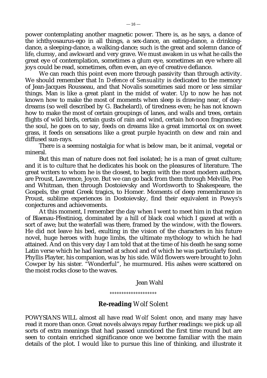power contemplating another magnetic power. There is, as he says, a dance of the ichthyosaurus-ego in all things, a sex-dance, an eating-dance, a drinkingdance, a sleeping-dance, a walking-dance; such is the great and solemn dance of life, clumsy, and awkward and very grave. We must awaken in us what he calls the great eye of contemplation, sometimes a glum eye, sometimes an eye where all joys could be read, sometimes, often even, an eye of creative defiance.

We can reach this point even more through passivity than through activity. We should remember that *In Defence of Sensuality* is dedicated to the memory of Jean-Jacques Rousseau, and that Novalis sometimes said more or less similar things. Man is like a great plant in the midst of water. Up to now he has not known how to make the most of moments when sleep is drawing near, of daydreams (so well described by G. Bachelard), of tiredness even; he has not known how to make the most of certain groupings of lanes, and walls and trees, certain flights of wild birds, certain gusts of rain and wind, certain hot-noon fragrancies; the soul, he goes on to say, feeds on dreams like a great immortal ox on sweet grass, it feeds on sensations like a great purple hyacinth on dew and rain and diffused sun-rays.

There is a seeming nostalgia for what is below man, be it animal, vegetal or mineral.

But this man of nature does not feel isolated; he is a man of great culture; and it is to culture that he dedicates his book on the pleasures of literature. The great writers to whom he is the closest, to begin with the most modern authors, are Proust, Lawrence, Joyce. But we can go back from them through Melville, Poe and Whitman, then through Dostoievsky and Wordsworth to Shakespeare, the Gospels, the great Greek tragics, to Homer. Moments of deep remembrance in Proust, sublime experiences in Dostoievsky, find their equivalent in Powys's conjectures and achievements.

At this moment, I remember the day when I went to meet him in that region of Blaenau-Ffestiniog, dominated by a hill of black coal which I gazed at with a sort of awe; but the waterfall was there, framed by the window, with the flowers. He did not leave his bed, exulting in the vision of the characters in his future novel, huge heroes with huge limbs, the ultimate mythology to which he had attained. And on this very day I am told that at the time of his death he sang some Latin verse which he had learned at school and of which he was particularly fond. Phyllis Playter, his companion, was by his side. Wild flowers were brought to John Cowper by his sister. "Wonderful", he murmured. His ashes were scattered on the moist rocks close to the waves.

Jean Wahl

*°°°°°°°°°°°°°°°°°°°°*

## **Re-reading** *Wolf Solent*

POWYSIANS WILL almost all have read *Wolf Solent* once, and many may have read it more than once. Great novels always repay further readings: we pick up all sorts of extra meanings that had passed unnoticed the first time round but are seen to contain enriched significance once we become familiar with the main details of the plot. I would like to pursue this line of thinking, and illustrate it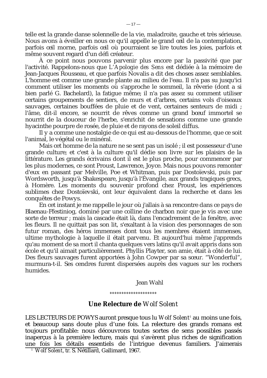telle est la grande danse solennelle de la vie, maladroite, gauche et très sérieuse. Nous avons à éveiller en nous ce qu'il appelle le grand œil de la contemplation, parfois œil morne, parfois œil où pourraient se lire toutes les joies, parfois et même souvent regard d'un défi créateur.

À ce point nous pouvons parvenir plus encore par la passivité que par l'activité. Rappelons-nous que *L'Apologie des Sens* est dédiée à la mémoire de Jean-Jacques Rousseau, et que parfois Novalis a dit des choses assez semblables. L'homme est comme une grande plante au milieu de l'eau. Il n'a pas su jusqu'ici comment utiliser les moments où s'approche le sommeil, la rêverie (dont a si bien parlé G. Bachelard), la fatigue même; il n'a pas assez su comment utiliser certains groupements de sentiers, de murs et d'arbres, certains vols d'oiseaux sauvages, certaines bouffées de pluie et de vent, certaines senteurs de midi ; l'âme, dit-il encore, se nourrit de rêves comme un grand bœuf immortel se nourrit de la douceur de l'herbe, s'enrichit de sensations comme une grande hyacinthe pourpre de rosée, de pluie et de rayons de soleil diffus.

Il y a comme une nostalgie de ce qui est au-dessous de l'homme, que ce soit l'animal, le végétal ou le minéral.

Mais cet homme de la nature ne se sent pas un isolé ; il est possesseur d'une grande culture; et c'est à la culture qu'il dédie son livre sur les plaisirs de la littérature. Les grands écrivains dont il est le plus proche, pour commencer par les plus modernes, ce sont Proust, Lawrence, Joyce. Mais nous pouvons remonter d'eux en passant par Melville, Poe et Whitman, puis par Dostoïevski, puis par Wordsworth, jusqu'à Shakespeare, jusqu'à l'Évangile, aux grands tragiques grecs, à Homère. Les moments du souvenir profond chez Proust, les expériences sublimes chez Dostoïevski, ont leur équivalent dans la recherche et dans les conquêtes de Powys.

En cet instant je me rappelle le jour où j'allais à sa rencontre dans ce pays de Blaenau-Ffestiniog, dominé par une colline de charbon noir que je vis avec une sorte de terreur ; mais la cascade était là, dans l'encadrement de la fenêtre, avec les fleurs. Il ne quittait pas son lit, s'exaltant à la vision des personnages de son futur roman, des héros immenses dont tous les membres étaient immenses, ultime mythologie à laquelle il était parvenu. Et aujourd'hui même j'apprends qu'au moment de sa mort il chanta quelques vers latins qu'il avait appris dans son école et qu'il aimait particulièrement. Phyllis Playter, son amie, était à côté de lui. Des fleurs sauvages furent apportées à John Cowper par sa sœur. "Wonderful", murmura-t-il. Ses cendres furent dispersées auprès des vagues sur les rochers humides.

Jean Wahl

*°°°°°°°°°°°°°°°°°°°°*

## **Une Relecture de** *Wolf Solent*

LES LECTEURS DE POWYS auront presque tous lu *Wolf Solent*<sup>1</sup> au moins une fois, et beaucoup sans doute plus d'une fois. La relecture des grands romans est toujours profitable: nous découvrons toutes sortes de sens possibles passés inaperçus à la première lecture, mais qui s'avèrent plus riches de signification une fois les détails essentiels de l'intrigue devenus familiers. J'aimerais <sup>1</sup> *Wolf Solent*, tr. S. Nétillard, Gallimard, 1967.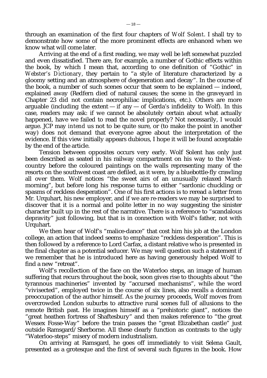through an examination of the first four chapters of *Wolf Solent*. I shall try to demonstrate how some of the more prominent effects are enhanced when we know what will come later.

Arriving at the end of a first reading, we may well be left somewhat puzzled and even dissatisfied. There are, for example, a number of Gothic effects within the book, by which I mean that, according to one definition of "Gothic" in *Webster's Dictionary*, they pertain to "a style of literature characterized by a gloomy setting and an atmosphere of degeneration and decay". In the course of the book, a number of such scenes occur that seem to be explained — indeed, explained away (Redfern died of natural causes; the scene in the graveyard in Chapter 23 did not contain necrophiliac implications, etc.). Others are more arguable (including the extent  $-$  if any  $-$  of Gerda's infidelity to Wolf). In this case, readers may ask: if we cannot be absolutely certain about what actually happened, have we failed to read the novel properly? Not necessarily, I would argue. JCP may *intend* us not to be quite sure, or (to make the point in another way) does not demand that everyone agree about the interpretation of the evidence. If this view initially appears dubious, I hope it will be found acceptable by the end of the article.

Tension between opposites occurs very early. Wolf Solent has only just been described as seated in his railway compartment on his way to the Westcountry before the coloured paintings on the walls representing many of the resorts on the southwest coast are defiled, as it were, by a bluebottle-fly crawling all over them. Wolf notices "the sweet airs of an unusually relaxed March morning", but before long his response turns to either "sardonic chuckling or spasms of reckless desperation". One of his first actions is to reread a letter from Mr. Urquhart, his new employer, and if we are *re*-readers we may be surprised to discover that it is a normal and polite letter in no way suggesting the sinister character built up in the rest of the narrative. There is a reference to "scandalous depravity" just following, but that is in connection with Wolf's father, not with Urquhart.

We then hear of Wolf's "malice-dance" that cost him his job at the London college, an action that indeed seems to emphasize "reckless desperation". This is then followed by a reference to Lord Carfax, a distant relative who is presented in the final chapter as a potential seducer. We may well question such a statement if we remember that he is introduced here as having generously helped Wolf to find a new "retreat".

Wolf's recollection of the face on the Waterloo steps, an image of human suffering that recurs throughout the book, soon gives rise to thoughts about "the tyrannous machineries" invented by "accursed mechanisms", while the word "vivisected", employed twice in the course of six lines, also recalls a dominant preoccupation of the author himself. As the journey proceeds, Wolf moves from overcrowded London suburbs to attractive rural scenes full of allusions to the remote British past. He imagines himself as a "prehistoric giant", notices the "great heathen fortress of Shaftesbury" and then makes reference to "the great Wessex Fosse-Way" before the train passes the "great Elizabethan castle" just outside Ramsgard/Sherborne. All these clearly function as contrasts to the ugly "Waterloo-steps" misery of modern industrialism.

On arriving at Ramsgard, he goes off immediately to visit Selena Gault, presented as a grotesque and the first of several such figures in the book. How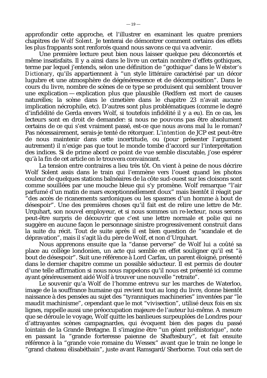approfondir cette approche, et l'illustrer en examinant les quatre premiers chapitres de *Wolf Solent.* Je tenterai de démontrer comment certains des effets les plus frappants sont renforcés quand nous savons ce qui va advenir.

Une première lecture peut bien nous laisser quelque peu déconcertés et même insatisfaits. Il y a ainsi dans le livre un certain nombre d'effets gothiques, terme par lequel j'entends, selon une définition de "gothique" dans le *Webster's Dictionary*, qu'ils appartiennent à "un style littéraire caractérisé par un décor lugubre et une atmosphère de dégénérescence et de décomposition". Dans le cours du livre, nombre de scènes de ce type se produisent qui semblent trouver une explication — explication plus que plausible (Redfern est mort de causes naturelles; la scène dans le cimetière dans le chapitre 23 n'avait aucune implication nécrophile, etc). D'autres sont plus problématiques (comme le degré d'infidélité de Gerda envers Wolf, si toutefois infidélité il y a eu). En ce cas, les lecteurs sont en droit de demander: si nous ne pouvons pas être absolument certains de ce qui s'est vraiment passé, est-ce que nous avons mal lu le roman? Pas nécessairement, serais-je tenté de rétorquer. L'*intention* de JCP est peut-être de nous maintenir dans cette incertitude, ou (pour présenter l'argument autrement) il n'exige pas que tout le monde tombe d'accord sur l'interprétation des indices. Si de prime abord ce point de vue semble discutable, j'ose espérer qu'à la fin de cet article on le trouvera convaincant.

La tension entre contraires a lieu très tôt. On vient à peine de nous décrire Wolf Solent assis dans le train qui l'emmène vers l'ouest quand les photos couleur de quelques stations balnéaires de la côte sud-ouest sur les cloisons sont comme souillées par une mouche bleue qui s'y promène. Wolf remarque "l'air parfumé d'un matin de mars exceptionnellement doux" mais bientôt il réagit par "des accès de ricanements sardoniques ou les spasmes d'un homme à bout de désespoir". Une des premières choses qu'il fait est de relire une lettre de Mr. Urquhart, son nouvel employeur, et si nous sommes un *re*-lecteur, nous serons peut-être surpris de découvrir que c'est une lettre normale et polie qui ne suggère en aucune façon le personnage sinistre progressivement construit dans la suite du récit. Tout de suite après il est bien question de "scandale et de dépravation", mais il s'agit là du père de Wolf, et non d'Urquhart.

Nous apprenons ensuite que la "danse perverse" de Wolf lui a coûté sa place au collège londonien, un acte qui semble en effet souligner qu'il est "à bout de désespoir". Suit une référence à Lord Carfax, un parent éloigné, présenté dans le dernier chapitre comme un possible séducteur. Il est permis de douter d'une telle affirmation si nous nous rappelons qu'il nous est présenté ici comme ayant généreusement aidé Wolf à trouver une nouvelle "retraite".

Le souvenir qu'a Wolf de l'homme entrevu sur les marches de Waterloo, image de la souffrance humaine qui revient tout au long du livre, donne bientôt naissance à des pensées au sujet des "tyranniques machineries" inventées par "le maudit machinisme", cependant que le mot "vivisection", utilisé deux fois en six lignes, rappelle aussi une préoccupation majeure de l'auteur lui-même. A mesure que se déroule le voyage, Wolf quitte les banlieues surpeuplées de Londres pour d'attrayantes scènes campagnardes, qui évoquent bien des pages du passé lointain de la Grande Bretagne. Il s'imagine être "un géant préhistorique", note en passant la "grande forteresse paienne de Shaftesbury", et fait ensuite référence à la "grande voie romaine du Wessex" avant que le train ne longe le "grand chateau élisabéthain", juste avant Ramsgard/Sherborne. Tout cela sert de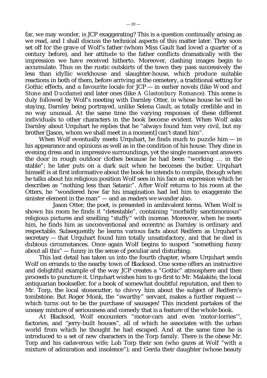far, we may wonder, is JCP exaggerating? This is a question continually arising as we read, and I shall discuss the technical aspects of this matter later. They soon set off for the grave of Wolf's father (whom Miss Gault had loved a quarter of a century before), and her attitude to the father conflicts dramatically with the impression we have received hitherto. Moreover, clashing images begin to accumulate. Thus on the rustic outskirts of the town they pass successively the less than idyllic workhouse and slaughter-house, which produce suitable reactions in both of them, before arriving at the cemetery, a traditional setting for Gothic effects, and a favourite locale for JCP — in earlier novels (like *Wood and Stone* and *Ducdame*) and later ones (like *A Glastonbury Romance*). This scene is duly followed by Wolf's meeting with Darnley Otter, in whose house he will be staying, Darnley being portrayed, unlike Selena Gault, as totally credible and in no way unusual. At the same time the varying responses of these different individuals to other characters in the book become evident. When Wolf asks Darnley about Urquhart he replies that he "always found him very civil, but my brother [Jason, whom we shall meet in a moment] can't stand him".

When Wolf eventually meets Urquhart, he finds much to puzzle  $him - in$ his appearance and opinions as well as in the condition of his house. They dine in evening dress and in impressive surroundings, yet the single manservant answers the door in rough outdoor clothes because he had been "working … in the stable"; he later puts on a dark suit when he becomes the butler. Urquhart himself is at first informative about the book he intends to compile, though when he talks about his religious position Wolf sees in his face an expression which he describes as "nothing less than Satanic". After Wolf returns to his room at the Otters, he "wondered how far his imagination had led him to exaggerate the sinister element in the man" — and as readers we wonder also.

Jason Otter, the poet, is presented in ambivalent terms. When Wolf is shown his room he finds it "detestable", containing "morbidly sanctimonious" religious pictures and smelling "stuffy" with incense. Moreover, when he meets him, he finds him as unconventional and eccentric as Darnley is ordinary and respectable. Subsequently he learns various facts about Redfern as Urquhart's secretary — that Urquhart found him totally unsatisfactory, and that he died in dubious circumstances. Once again Wolf begins to suspect "something funny about all this" — funny in the sense of peculiar and disturbing.

This last detail has taken us into the fourth chapter, where Urquhart sends Wolf on errands to the nearby town of Blacksod. One scene offers an instructive and delightful example of the way JCP creates a "Gothic" atmosphere and then proceeds to puncture it. Urquhart wishes him to go first to Mr. Malakite, the local antiquarian bookseller, for a book of somewhat doubtful reputation, and then to Mr. Torp, the local stonecutter, to chivvy him about the subject of Redfern's tombstone. But Roger Monk, the "swarthy" servant, makes a further request which turns out to be the purchase of sausages! This incident partakes of the uneasy mixture of seriousness and comedy that is a feature of the whole book.

At Blacksod, Wolf encounters "motor-cars and even 'motor-lorries'", factories, and "jerry-built houses", all of which he associates with the urban world from which he thought he had escaped. And at the same time he is introduced to a set of new characters in the Torp family. There is the obese Mr. Torp and his cadaverous wife; Lob Torp their son (who gazes at Wolf "with a mixture of admiration and insolence"); and Gerda their daughter (whose beauty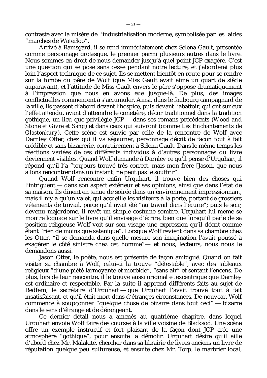contraste avec la misère de l'industrialisation moderne, symbolisée par les laides "marches de Waterloo".

Arrivé à Ramsgard, il se rend immédiatement chez Selena Gault, présentée comme personnage grotesque, le premier parmi plusieurs autres dans le livre. Nous sommes en droit de nous demander jusqu'à quel point JCP exagère. C'est une question qui se pose sans cesse pendant notre lecture, et j'aborderai plus loin l'aspect technique de ce sujet. Ils se mettent bientôt en route pour se rendre sur la tombe du père de Wolf (que Miss Gault avait aimé un quart de siècle auparavant), et l'attitude de Miss Gault envers le père s'oppose dramatiquement à l'impression que nous en avons eue jusque-là. De plus, des images conflictuelles commencent à s'accumuler. Ainsi, dans le faubourg campagnard de la ville, ils passent d'abord devant l'hospice, puis devant l'abattoir, qui ont sur eux l'effet attendu, avant d'atteindre le cimetière, décor traditionnel dans la tradition gothique, un lieu que privilégie JCP — dans ses romans précédents (*Wood and Stone* et *Givre et Sang*) et dans ceux qui suivront (comme *Les Enchantements de Glastonbury*). Cette scène est suivie par celle de la rencontre de Wolf avec Darnley Otter, chez qui il va séjourner, personnage décrit de façon tout à fait crédible et sans bizarrerie, contrairement à Selena Gault. Dans le même temps les réactions variées de ces différents individus à d'autres personnages du livre deviennent visibles. Quand Wolf demande à Darnley ce qu'il pense d'Urquhart, il répond qu'il l'a "toujours trouvé très correct, mais mon frère [Jason, que nous allons rencontrer dans un instant] ne peut pas le souffrir".

Quand Wolf rencontre enfin Urquhart, il trouve bien des choses qui l'intriguent — dans son aspect extérieur et ses opinions, ainsi que dans l'état de sa maison. Ils dinent en tenue de soirée dans un environnement impressionnant, mais il n'y a qu'un valet, qui accueille les visiteurs à la porte, portant de grossiers vêtements de travail, parce qu'il avait été "au travail dans l'écurie"; puis le soir, devenu majordome, il revêt un simple costume sombre. Urquhart lui-même se montre loquace sur le livre qu'il envisage d'écrire, bien que lorsqu'il parle de sa position religieuse Wolf voit sur son visage une expression qu'il décrit comme étant "rien de moins que satanique". Lorsque Wolf revient dans sa chambre chez les Otter, "il se demanda dans quelle mesure son imagination l'avait poussé à exagérer le côté sinistre chez cet homme"— et nous, lecteurs, nous nous le demandons aussi.

Jason Otter, le poète, nous est présenté de façon ambiguë. Quand on fait visiter sa chambre à Wolf, celui-ci la trouve "détestable", avec des tableaux religieux "d'une piété larmoyante et morbide", "sans air" et sentant l'encens. De plus, lors de leur rencontre, il le trouve aussi original et excentrique que Darnley est ordinaire et respectable. Par la suite il apprend différents faits au sujet de Redfern, le secrétaire d'Urquhart — que Urquhart l'avait trouvé tout à fait insatisfaisant, et qu'il était mort dans d'étranges circonstances. De nouveau Wolf commence à soupçonner "quelque chose de bizarre dans tout ceci" — bizarre dans le sens d'étrange et de dérangeant.

Ce dernier détail nous a amenés au quatrième chapitre, dans lequel Urquhart envoie Wolf faire des courses à la ville voisine de Blacksod. Une scène offre un exemple instructif et fort plaisant de la façon dont JCP crée une atmosphère "gothique", pour ensuite la démolir. Urquhart désire qu'il aille d'abord chez Mr. Malakite, chercher dans sa librairie de livres anciens un livre de réputation quelque peu sulfureuse, et ensuite chez Mr. Torp, le marbrier local,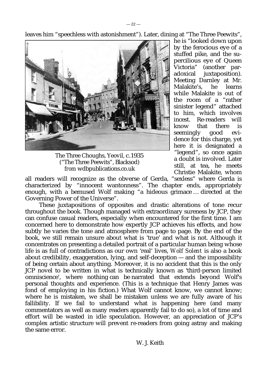$-22-$ 

leaves him "speechless with astonishment"). Later, dining at "The Three Peewits",



The Three Choughs, Yeovil, *c*.1935 ("The Three Peewits", Blacksod) *from* wdbpublications.co.uk

he is "looked down upon by the ferocious eye of a stuffed pike, and the supercilious eye of Queen Victoria" (another paradoxical juxtaposition). Meeting Darnley at Mr.<br>Malakite's, he learns Malakite's, he while Malakite is out of the room of a "rather sinister legend" attached to him, which involves incest. Re-readers will know that there is seemingly good evidence for this charge, yet here it is designated a "legend", so once again a doubt is involved. Later still, at tea, he meets Christie Malakite, whom

all readers will recognize as the obverse of Gerda, "sexless" where Gerda is characterized by "innocent wantonness". The chapter ends, appropriately enough, with a bemused Wolf making "a hideous grimace … directed at the Governing Power of the Universe".

These juxtapositions of opposites and drastic alterations of tone recur throughout the book. Though managed with extraordinary sureness by JCP, they can confuse casual readers, especially when encountered for the first time. I am concerned here to demonstrate how expertly JCP achieves his effects, and how subtly he varies the tone and atmosphere from page to page. By the end of the book, we still remain unsure about what is 'true' and what is not. Although it concentrates on presenting a detailed portrait of a particular human being whose life is as full of contradictions as our own 'real' lives, *Wolf Solent* is also a book about credibility, exaggeration, lying, and self-deception — and the impossibility of being certain about anything. Moreover, it is no accident that this is the only JCP novel to be written in what is technically known as 'third-person limited omniscience', where nothing can be narrated that extends beyond Wolf's personal thoughts and experience. (This is a technique that Henry James was fond of employing in his fiction.) What Wolf cannot know, we cannot know; where he is mistaken, we shall be mistaken unless we are fully aware of his fallibility. If we fail to understand what is happening here (and many commentators as well as many readers apparently fail to do so), a lot of time and effort will be wasted in idle speculation. However, an appreciation of JCP's complex artistic structure will prevent *re*-readers from going astray and making the same error.

W. J. Keith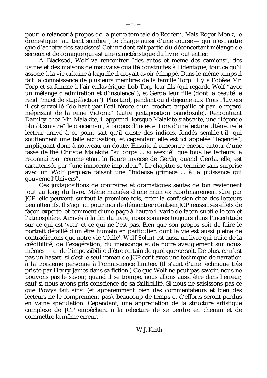pour le relancer à propos de la pierre tombale de Redfern. Mais Roger Monk, le domestique "au teint sombre", le charge aussi d'une course — qui n'est autre que d'acheter des saucisses! Cet incident fait partie du déconcertant mélange de sérieux et de comique qui est une caractéristique du livre tout entier.

A Blacksod, Wolf va rencontrer "des autos et même des camions", des usines et des maisons de mauvaise qualité construites à l'identique, tout ce qu'il associe à la vie urbaine à laquelle il croyait avoir échappé. Dans le même temps il fait la connaissance de plusieurs membres de la famille Torp. Il y a l'obèse Mr. Torp et sa femme à l'air cadavérique; Lob Torp leur fils (qui regarde Wolf "avec un mélange d'admiration et d'insolence"); et Gerda leur fille (dont la beauté le rend "muet de stupéfaction"). Plus tard, pendant qu'il déjeune aux Trois Pluviers il est surveillé "de haut par l'œil féroce d'un brochet empaillé et par le regard méprisant de la reine Victoria" (autre juxtaposition paradoxale). Rencontrant Darnley chez Mr. Malakite, il apprend, lorsque Malakite s'absente, une "légende plutôt sinistre" le concernant, à propos d'inceste. Lors d'une lecture ultérieure le lecteur arrivé à ce point sait qu'il existe des indices, fondés semble-t-il, qui soutiennent une telle accusation, et cependant elle est ici appelée "légende", impliquant donc à nouveau un doute. Ensuite il rencontre encore autour d'une tasse de thé Christie Malakite "au corps ... si asexué" que tous les lecteurs la reconnaîtront comme étant la figure inverse de Gerda, quand Gerda, elle, est caractérisée par "une innocente impudeur". Le chapitre se termine sans surprise avec un Wolf perplexe faisant une "hideuse grimace ... à la puissance qui gouverne l'Univers".

Ces juxtapositions de contraires et dramatiques sautes de ton reviennent tout au long du livre. Même maniées d'une main extraordinairement sûre par JCP, elle peuvent, surtout la première fois, créer la confusion chez des lecteurs peu attentifs. Il s'agit ici pour moi de démontrer combien JCP réussit ses effets de façon experte, et comment d'une page à l'autre il varie de façon subtile le ton et l'atmosphère. Arrivés à la fin du livre, nous sommes toujours dans l'incertitude sur ce qui est 'vrai' et ce qui ne l'est pas. Bien que son propos soit de faire le portrait détaillé d'un être humain en particulier, dont la vie est aussi pleine de contradictions que notre vie 'réelle', *Wolf Solent* est aussi un livre qui traite de la crédibilité, de l'exagération, du mensonge et de notre aveuglement sur nousmêmes — et de l'impossibilité d'être certain de quoi que ce soit. De plus, ce n'est pas un hasard si c'est le seul roman de JCP écrit avec une technique de narration à la troisième personne à l'omniscience limitée. (Il s'agit d'une technique très prisée par Henry James dans sa fiction.) Ce que Wolf ne peut pas savoir, nous ne pouvons pas le savoir; quand il se trompe, nous allons aussi être dans l'erreur, sauf si nous avons pris conscience de sa faillibilité. Si nous ne saisissons pas ce que Powys fait ainsi (et apparemment bien des commentateurs et bien des lecteurs ne le comprennent pas), beaucoup de temps et d'efforts seront perdus en vaine spéculation. Cependant, une appréciation de la structure artistique complexe de JCP empêchera à la relecture de se perdre en chemin et de commettre la même erreur.

#### W.J. Keith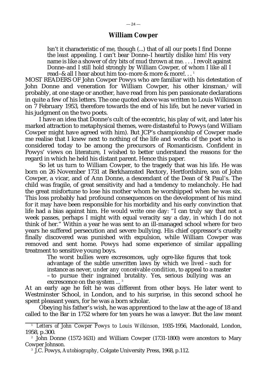Isn't it characteristic of me, though (...) that of all our poets I find Donne the *least* appealing. I can't bear Donne–I heartily dislike him! His very name is like a shower of dry bits of mud thrown at me. . . . I revolt against Donne–and I still hold strongly by William Cowper, of whom I like all I read–& all I hear about him too–more & more & more!. . . <sup>1</sup>

MOST READERS OF John Cowper Powys who are familiar with his detestation of John Donne and veneration for William Cowper, his other kinsman,<sup>2</sup> will probably, at one stage or another, have read from his pen passionate declarations in quite a few of his letters. The one quoted above was written to Louis Wilkinson on 7 February 1953, therefore towards the end of his life, but he never varied in his judgment on the two poets.

I have an idea that Donne's cult of the eccentric, his play of wit, and later his marked attraction to metaphysical themes, were distasteful to Powys (and William Cowper might have agreed with him). But JCP's championship of Cowper made me realise that I knew next to nothing of the life and works of the poet who is considered today to be among the precursors of Romanticism. Confident in Powys' views on literature, I wished to better understand the reasons for the regard in which he held his distant parent. Hence this paper.

So let us turn to William Cowper, to the tragedy that was his life. He was born on 26 November 1731 at Berkhamsted Rectory, Hertfordshire, son of John Cowper, a vicar, and of Ann Donne, a descendant of the Dean of St Paul's. The child was fragile, of great sensitivity and had a tendency to melancholy. He had the great misfortune to lose his mother whom he worshipped when he was six. This loss probably had profound consequences on the development of his mind for it may have been responsible for his morbidity and his early convinction that life had a bias against him. He would write one day: "I can truly say that not a week passes, perhaps I might with equal veracity say a day, in which I do not think of her." Within a year he was sent to an ill-managed school where for two years he suffered persecution and severe bullying. His chief oppressor's cruelty finally discovered was punished with expulsion, while William Cowper was removed and sent home. Powys had some experience of similar appalling treatment to sensitive young boys.

The worst bullies were excrescences, ugly ogre-like figures that took advantage of the subtle unwritten laws by which we lived – such for instance as never, *under any conceivable condition*, to appeal to a master – to pursue their ingrained brutality. Yes, serious bullying was an excrescence on the system ... <sup>3</sup>

At an early age he felt he was different from other boys. He later went to Westminster School, in London, and to his surprise, in this second school he spent pleasant years, for he was a born scholar.

Obeying his father's wish, he was apprenticed to the law at the age of 18 and called to the Bar in 1752 where for ten years he was a lawyer. But the law meant

<sup>&</sup>lt;sup>1</sup> Letters of John Cowper Powys to Louis Wilkinson, 1935-1956, Macdonald, London, 1958, p.300.

<sup>&</sup>lt;sup>2</sup> John Donne (1572-1631) and William Cowper (1731-1800) were ancestors to Mary Cowper Johnson.

<sup>3</sup> J.C. Powys, *Autobiography,* Colgate University Press, 1968, p.112.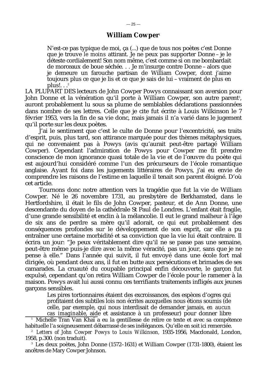## **William Cowper**<sup>1</sup>

N'est-ce pas typique de moi, ça (...) que de tous nos poètes c'est Donne que je trouve *le moins* attirant. Je ne peux pas supporter Donne – je le déteste cordialement! Son nom même, c'est comme si on me bombardait de morceaux de boue séchée. . . Je m'insurge contre Donne – alors que je demeure un farouche partisan de William Cowper, dont j'aime toujours plus ce que je lis et ce que je sais de lui – vraiment de plus en plus! $\ldots$ <sup>2</sup>

LA PLUPART DES lecteurs de John Cowper Powys connaissant son aversion pour John Donne et la vénération qu'il porte à William Cowper, son autre parent<sup>3</sup>, auront probablement lu sous sa plume de semblables déclarations passionnées dans nombre de ses lettres. Celle que je cite fut écrite à Louis Wilkinson le 7 février 1953, vers la fin de sa vie donc, mais jamais il n'a varié dans le jugement qu'il porte sur les deux poètes.

J'ai le sentiment que c'est le culte de Donne pour l'excentricité, ses traits d'esprit, puis, plus tard, son attirance marquée pour des thèmes métaphysiques, qui ne convenaient pas à Powys (avis qu'aurait peut-être partagé William Cowper). Cependant l'admiration de Powys pour Cowper me fit prendre conscience de mon ignorance quasi totale de la vie et de l'œuvre du poète qui est aujourd'hui considéré comme l'un des précurseurs de l'école romantique anglaise. Ayant foi dans les jugements littéraires de Powys, j'ai eu envie de comprendre les raisons de l'estime en laquelle il tenait son parent éloigné. D'où cet article.

Tournons donc notre attention vers la tragédie que fut la vie de William Cowper. Né le 26 novembre 1731, au presbytère de Berkhamsted, dans le Hertfordshire, il était le fils de John Cowper, pasteur, et de Ann Donne, une descendante du doyen de la cathédrale St Paul de Londres. L'enfant était fragile, d'une grande sensibilité et enclin à la mélancolie. Il eut le grand malheur à l'âge de six ans de perdre sa mère qu'il adorait, ce qui eut probablement des conséquences profondes sur le développement de son esprit, car elle a pu entraîner une certaine morbidité et sa conviction que la vie lui était contraire. Il écrira un jour: "Je peux véritablement dire qu'il ne se passe pas une semaine, peut-être même puis-je dire avec la même véracité, pas un jour, sans que je ne pense à elle." Dans l'année qui suivit, il fut envoyé dans une école fort mal dirigée, où pendant deux ans, il fut en butte aux persécutions et brimades de ses camarades. La cruauté du coupable principal enfin découverte, le garçon fut expulsé, cependant qu'on retira William Cowper de l'école pour le ramener à la maison. Powys avait lui aussi connu ces terrifiants traitements infligés aux jeunes garçons sensibles.

Les pires tortionnaires étaient des excroissances, des espèces d'ogres qui profitaient des subtiles lois non écrites auxquelles nous étions soumis (de celle, par exemple, qui nous interdisait de demander jamais, *en aucun cas imaginable*, aide et assistance à un professeur) pour donner libre

<sup>1</sup> Michelle Tran Van Khaï a eu la gentillesse de relire ce texte et avec sa compétence habituelle l'a soigneusement débarrassé de ses inélégances. Qu'elle en soit ici remerciée.

<sup>2</sup> Letters of John Cowper Powys to Louis Wilkinson, 1935-1956, Macdonald, London, 1958, p.300. (non traduit).

<sup>3</sup> Les deux poètes, John Donne (1572–1631) et William Cowper (1731-1800), étaient les ancêtres de Mary Cowper Johnson.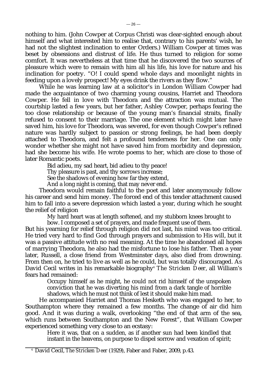nothing to him. (John Cowper at Corpus Christi was clear-sighted enough about himself and what interested him to realise that, contrary to his parents' wish, he had not the slightest inclination to enter Orders.) William Cowper at times was beset by obsessions and distrust of life. He thus turned to religion for some comfort. It was nevertheless at that time that he discovered the two sources of pleasure which were to remain with him all his life, his love for nature and his inclination for poetry. "O! I could spend whole days and moonlight nights in feeding upon a lovely prospect! My eyes drink the rivers as they flow."

While he was learning law at a solicitor's in London William Cowper had made the acquaintance of two charming young cousins, Harriet and Theodora Cowper. He fell in love with Theodora and the attraction was mutual. The courtship lasted a few years, but her father, Ashley Cowper, perhaps fearing the too close relationship or because of the young man's financial straits, finally refused to consent to their marriage. The one element which might later have saved him, his love for Theodora, was severed, for even though Cowper's refined nature was hardly subject to passion or strong feelings, he had been deeply attached to Theodora, and felt a profound tenderness for her. One can only wonder whether she might not have saved him from morbidity and depression, had she become his wife. He wrote poems to her, which are close to those of later Romantic poets.

> Bid adieu, my sad heart, bid adieu to thy peace! Thy pleasure is past, and thy sorrows increase; See the shadows of evening how far they extend, And a long night is coming, that may never end.

Theodora would remain faithful to the poet and later anonymously follow his career and send him money. The forced end of this tender attachment caused him to fall into a severe depression which lasted a year, during which he sought the relief of religion

My hard heart was at length softened, and my stubborn knees brought to

bow. I composed a set of prayers, and made frequent use of them.

But his yearning for relief through religion did not last, his mind was too critical. He tried very hard to find God through prayers and submission to His will, but it was a passive attitude with no real meaning. At the time he abandoned all hopes of marrying Theodora, he also had the misfortune to lose his father. Then a year later, Russell, a close friend from Westminster days, also died from drowning. From then on, he tried to live as well as he could, but was totally discouraged. As David Cecil writes in his remarkable biography<sup>4</sup> *The Stricken Deer*, all William's fears had remained:

Occupy himself as he might, he could not rid himself of the unspoken conviction that he was diverting his mind from a dark tangle of horrible shadows, which he must not think of lest it should make him mad.

He accompanied Harriet and Thomas Hesketh who was engaged to her, to Southampton where they remained a few months. The change of air did him good. And it was during a walk, overlooking "the end of that arm of the sea, which runs between Southampton and the New Forest", that William Cowper experienced something very close to an ecstasy:

Here it was, that on a sudden, as if another sun had been kindled that instant in the heavens, on purpose to dispel sorrow and vexation of spirit;

<sup>4</sup> David Cecil, *The Stricken Deer* (1929), Faber and Faber, 2009, p.43.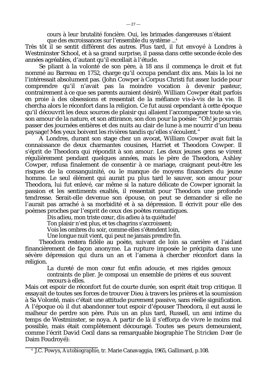cours à leur brutalité foncière. Oui, les brimades dangereuses n'étaient que des excroissances sur l'ensemble du système ...<sup>4</sup>

Très tôt il se sentit différent des autres. Plus tard, il fut envoyé à Londres à Westminster School, et à sa grand surprise, il passa dans cette seconde école des années agréables, d'autant qu'il excellait à l'étude.

Se pliant à la volonté de son père, à 18 ans il commença le droit et fut nommé au Barreau en 1752, charge qu'il occupa pendant dix ans. Mais la loi ne l'intéressait absolument pas. (John Cowper à Corpus Christi fut assez lucide pour comprendre qu'il n'avait pas la moindre vocation à devenir pasteur, contrairement à ce que ses parents auraient désiré). William Cowper était parfois en proie à des obsessions et ressentait de la méfiance vis-à-vis de la vie. Il chercha alors le réconfort dans la religion. Ce fut aussi cependant à cette époque qu'il découvrit les deux sources de plaisir qui allaient l'accompagner toute sa vie, son amour de la nature, et son attirance, son don pour la poésie: "Oh! je pourrais passer des journées entières et des nuits au clair de lune à me nourrir d'un beau paysage! Mes yeux boivent les rivières tandis qu'elles s'écoulent."

A Londres, durant son stage chez un avocat, William Cowper avait fait la connaissance de deux charmantes cousines, Harriet et Theodora Cowper. Il s'éprit de Theodora qui répondit à son amour. Les deux jeunes gens se virent régulièrement pendant quelques années, mais le père de Theodora, Ashley Cowper, refusa finalement de consentir à ce mariage, craignant peut-être les risques de la consanguinité, ou le manque de moyens financiers du jeune homme. Le seul élément qui aurait pu plus tard le sauver, son amour pour Theodora, lui fut enlevé, car même si la nature délicate de Cowper ignorait la passion et les sentiments exaltés, il ressentait pour Theodora une profonde tendresse. Serait-elle devenue son épouse, on peut se demander si elle ne l'aurait pas arraché à sa morbidité et à sa dépression. Il écrivit pour elle des poèmes proches par l'esprit de ceux des poètes romantiques.

Dis adieu, mon triste cœur, dis adieu à ta quiétude!

Ton plaisir n'est plus, et tes chagrins s'accroissent;

Vois les ombres du soir, comme elles s'étendent loin,

Une longue nuit vient, qui peut ne jamais prendre fin.

Theodora restera fidèle au poète, suivant de loin sa carrière et l'aidant financièrement de façon anonyme. La rupture imposée le précipita dans une sévère dépression qui dura un an et l'amena à chercher réconfort dans la religion.

La dureté de mon cœur fut enfin adoucie, et mes rigides genoux contraints de plier. Je composai un ensemble de prières et eus souvent recours à elles.

Mais cet espoir de réconfort fut de courte durée, son esprit était trop critique. Il essayait de toutes ses forces de trouver Dieu à travers les prières et la soumission à Sa Volonté, mais c'était une attitude purement passive, sans réelle signification. A l'époque où il dut abandonner tout espoir d'épouser Theodora, il eut aussi le malheur de perdre son père. Puis un an plus tard, Russell, un ami intime du temps de Westminster, se noya. A partir de là il s'efforça de vivre le moins mal possible, mais était complètement découragé. Toutes ses peurs demeuraient, comme l'écrit David Cecil dans sa remarquable biographie *The Stricken Deer* (le Daim Foudroyé):

<sup>4</sup> J.C. Powys, *Autobiographie*, tr. Marie Canavaggia, 1965, Gallimard, p.108.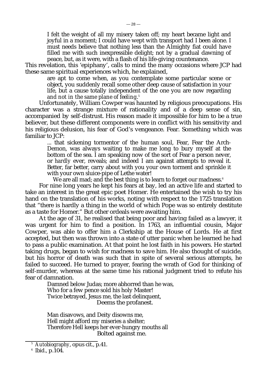I felt the weight of all my misery taken off; my heart became light and joyful in a moment; I could have wept with transport had I been alone. I must needs believe that nothing less than the Almighty fiat could have filled me with such inexpressible delight; not by a gradual dawning of peace, but, as it were, with a flash of his life-giving countenance.

This revelation, this 'epiphany', calls to mind the many occasions where JCP had these same spiritual experiences which, he explained,

are apt to come when, as you contemplate some particular scene or object, you suddenly recall *some* other deep cause of satisfaction in your life, but a cause totally independent of the one you are now regarding *and not in the same plane of feeling*. 5

Unfortunately, William Cowper was haunted by religious preocupations. His character was a strange mixture of rationality and of a deep sense of sin, accompanied by self-distrust. His reason made it impossible for him to be a true believer, but these different components were in conflict with his sensitivity and his religious delusion, his fear of God's vengeance. Fear. Something which was familiar to JCP:

... that sickening tormentor of the human soul, Fear, Fear the Arch-Demon, was always waiting to make me long to bury myself at the bottom of the sea. I am speaking now of the sort of Fear a person never, or *hardly* ever, reveals; and indeed I am against attempts to reveal it. Better, far better, carry about with you your own torment and sprinkle it with your own sluice-pipe of Lethe water!

We are all mad; and the best thing is to learn to forget our madness.<sup>6</sup>

For nine long years he kept his fears at bay, led an active life and started to take an interest in the great epic poet Homer. He entertained the wish to try his hand on the translation of his works, noting with respect to the 1725 translation that "there is hardly a thing in the world of which Pope was so entirely destitute as a taste for Homer." But other ordeals were awaiting him.

At the age of 31, he realised that being poor and having failed as a lawyer, it was urgent for him to find a position. In 1763, an influential cousin, Major Cowper, was able to offer him a Clerkship at the House of Lords. He at first accepted, but then was thrown into a state of utter panic when he learned he had to pass a public examination. At that point he lost faith in his powers. He started taking drugs, began to wish for madness to save him. He also thought of suicide, but his horror of death was such that in spite of several serious attempts, he failed to succeed. He turned to prayer, fearing the wrath of God for thinking of self-murder, whereas at the same time his rational judgment tried to refute his fear of damnation.

Damned below Judas; more abhorred than he was, Who for a few pence sold his holy Master! Twice betrayed, Jesus me, the last delinquent, Deems the profanest.

Man disavows, and Deity disowns me, Hell might afford my miseries a shelter; Therefore Hell keeps her ever-hungry mouths all Bolted against me.

<sup>5</sup> *Autobiography*, opus cit., p.41.

<sup>6</sup> Ibid., p.104.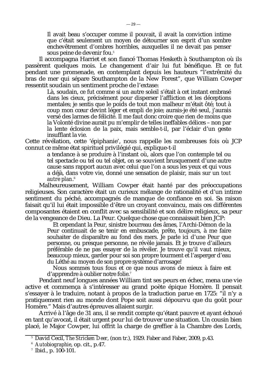Il avait beau s'occuper comme il pouvait, il avait la conviction intime que c'était seulement un moyen de détourner son esprit d'un sombre enchevêtrement d'ombres horribles, auxquelles il ne devait pas penser sous peine de devenir fou.<sup>5</sup>

Il accompagna Harriet et son fiancé Thomas Hesketh à Southampton où ils passèrent quelques mois. Le changement d'air lui fut bénéfique. Et ce fut pendant une promenade, en contemplant depuis les hauteurs "l'extrêmité du bras de mer qui sépare Southampton de la New Forest", que William Cowper ressentit soudain un sentiment proche de l'extase:

Là, soudain, ce fut comme si un autre soleil s'était à cet instant embrasé dans les cieux, précisément pour disperser l'affliction et les déceptions mentales; je sentis que le poids de tout mon malheur m'était ôté; tout à coup mon cœur devint léger et empli de joie; aurais-je été seul, j'aurais versé des larmes de félicité. Il me faut donc croire que rien de moins que la Volonté divine aurait pu m'emplir de telles ineffables délices – non par la lente éclosion de la paix, mais semble-t-il, par l'éclair d'un geste insufflant la vie.

Cette révélation, cette 'épiphanie', nous rappelle les nombreuses fois où JCP connut ce même état spirituel privilégié qui, explique-t-il

a tendance à se produire à l'instant où, alors que l'on contemple tel ou tel spectacle ou tel ou tel objet, on se souvient brusquement d'une autre cause sans rapport aucun avec celui que l'on a sous les yeux et qui vous a déjà, dans votre vie, donné une sensation de plaisir, mais sur un *tout autre plan*. 6

Malheureusement, William Cowper était hanté par des préoccupations religieuses. Son caractère était un curieux mélange de rationalité et d'un intime sentiment du péché, accompagnés de manque de confiance en soi. Sa raison faisait qu'il lui était impossible d'être un croyant convaincu, mais ces différentes composantes étaient en conflit avec sa sensibilité et son délire religieux, sa peur de la vengeance de Dieu. La Peur. Quelque chose que connaissait bien JCP:

Et cependant la Peur, sinistre bourreau des âmes, l'Archi-Démon de la Peur continuait de se tenir en embuscade, prête, toujours, à me faire souhaiter de disparaître au fond des mers. Je parle ici d'une Peur que personne, ou presque personne, ne révèle jamais. Et je trouve d'ailleurs préférable de ne pas essayer de la révéler. Je trouve qu'il vaut mieux, beaucoup mieux, garder pour soi son propre tourment et l'asperger d'eau du Léthé au moyen de son propre système d'arrosage!

Nous sommes tous fous et ce que nous avons de mieux à faire est d'apprendre à oublier notre folie.<sup>7</sup>

Pendant neuf longues années William tint ses peurs en échec, mena une vie active et commença à s'intéresser au grand poète épique Homère. Il pensait s'essayer à le traduire, notant à propos de la traduction parue en 1725: "il n'y a pratiquement rien au monde dont Pope soit aussi dépourvu que du goût pour Homère." Mais d'autres épreuves allaient surgir.

Arrivé à l'âge de 31 ans, il se rendit compte qu'étant pauvre et ayant échoué en tant qu'avocat, il était urgent pour lui de trouver une situation. Un cousin bien placé, le Major Cowper, lui offrit la charge de greffier à la Chambre des Lords,

<sup>5</sup> David Cecil, *The Stricken Deer*, (non tr.), 1929. Faber and Faber, 2009, p.43.

<sup>6</sup> *Autobiographie*, op. cit., p.47.

<sup>7</sup> Ibid., p. 100-101.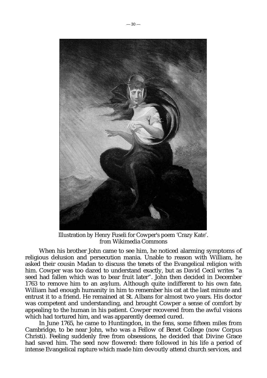

Illustration by Henry Fuseli for Cowper's poem 'Crazy Kate'. *from* Wikimedia Commons

When his brother John came to see him, he noticed alarming symptoms of religious delusion and persecution mania. Unable to reason with William, he asked their cousin Madan to discuss the tenets of the Evangelical religion with him. Cowper was too dazed to understand exactly, but as David Cecil writes "a seed had fallen which was to bear fruit later". John then decided in December 1763 to remove him to an asylum. Although quite indifferent to his own fate, William had enough humanity in him to remember his cat at the last minute and entrust it to a friend. He remained at St. Albans for almost two years. His doctor was competent and understanding, and brought Cowper a sense of comfort by appealing to the human in his patient. Cowper recovered from the awful visions which had tortured him, and was apparently deemed cured.

In June 1765, he came to Huntingdon, in the fens, some fifteen miles from Cambridge, to be near John, who was a Fellow of Benet College (now Corpus Christi). Feeling suddenly free from obsessions, he decided that Divine Grace had saved him. The seed now flowered: there followed in his life a period of intense Evangelical rapture which made him devoutly attend church services, and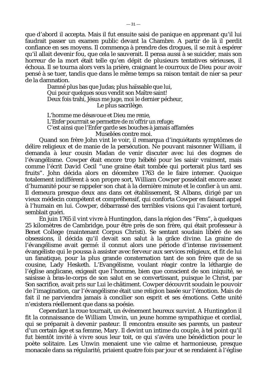que d'abord il accepta. Mais il fut ensuite saisi de panique en apprenant qu'il lui faudrait passer un examen public devant la Chambre. A partir de là il perdit confiance en ses moyens. Il commença à prendre des drogues, il se mit à espérer qu'il allait devenir fou, que cela le sauverait. Il pensa aussi à se suicider, mais son horreur de la mort était telle qu'en dépit de plusieurs tentatives sérieuses, il échoua. Il se tourna alors vers la prière, craignant le courroux de Dieu pour avoir pensé à se tuer, tandis que dans le même temps sa raison tentait de nier sa peur de la damnation.

Damné plus bas que Judas; plus haïssable que lui, Qui pour quelques sous vendit son Maître saint! Deux fois trahi, Jésus me juge, moi le dernier pécheur, Le plus sacrilège.

L'homme me désavoue et Dieu me renie, L'Enfer pourrrait se permettre de m'offrir un refuge; C'est ainsi que l'Enfer garde ses bouches à jamais affamées Muselées contre moi.

Quand son frère John vint le voir, il remarqua d'inquiétants symptômes de délire religieux et de manie de la persécution. Ne pouvant raisonner William, il demanda à leur cousin Madan de venir discuter avec lui des dogmes de l'évangélisme. Cowper était encore trop hébété pour les saisir vraiment, mais comme l'écrit David Cecil "une graine était tombée qui porterait plus tard ses fruits". John décida alors en décembre 1763 de le faire interner. Quoique totalement indifférent à son propre sort, William Cowper possédait encore assez d'humanité pour se rappeler son chat à la dernière minute et le confier à un ami. Il demeura presque deux ans dans cet établissement, St Albans, dirigé par un vieux médecin compétent et compréhensif, qui conforta Cowper en faisant appel à l'humain en lui. Cowper, débarrassé des terribles visions qui l'avaient torturé, semblait guéri.

En juin 1765 il vint vivre à Huntingdon, dans la région des "Fens", à quelques 25 kilomètres de Cambridge, pour être près de son frère, qui était professeur à Benet College (maintenant Corpus Christi). Se sentant soudain libéré de ses obsessions, il décida qu'il devait son salut à la grâce divine. La graine de l'évangélisme avait germé: il connut alors une période d'intense ravissement évangéliste qui le poussa à assister avec ferveur aux services religieux, et fit de lui un fanatique, pour la plus grande consternation tant de son frère que de sa cousine, Lady Hesketh. L'Evangélisme, voulant réagir contre la léthargie de l'église anglicane, exigeait que l'homme, bien que conscient de son iniquité, se saisisse à bras-le-corps de son salut en se convertissant, puisque le Christ, par Son sacrifice, avait pris sur Lui le châtiment. Cowper découvrit soudain le pouvoir de l'imagination, car l'évangélisme était une religion basée sur l'émotion. Mais de fait il ne parviendra jamais à concilier son esprit et ses émotions. Cette unité n'existera réellement que dans sa poésie.

Cependant la roue tournait, un événement heureux survint. A Huntingdon il fit la connaissance de William Unwin, un jeune homme sympathique et cordial, qui se préparait à devenir pasteur. Il rencontra ensuite ses parents, un pasteur d'un certain âge et sa femme, Mary. Il devint un intime du couple, à tel point qu'il fut bientôt invité à vivre sous leur toit, ce qui s'avéra une bénédiction pour le poète solitaire. Les Unwin menaient une vie calme et harmonieuse, presque monacale dans sa régularité, priaient quatre fois par jour et se rendaient à l'église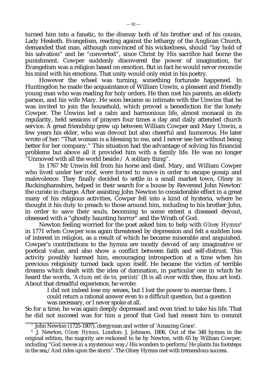turned him into a fanatic, to the dismay both of his brother and of his cousin, Lady Hesketh. Evangelism, reacting against the lethargy of the Anglican Church, demanded that man, although convinced of his wickedness, should "lay hold of his salvation" and be "converted", since Christ by His sacrifice had borne the punishment. Cowper suddenly discovered the power of imagination, for Evangelism was a religion based on emotion. But in fact he would never reconcile his mind with his emotions. That unity would only exist in his poetry.

However the wheel was turning, something fortunate happened. In Huntingdon he made the acquaintance of William Unwin, a pleasant and friendly young man who was reading for holy orders. He then met his parents, an elderly parson, and his wife Mary. He soon became so intimate with the Unwins that he was invited to join the household, which proved a benediction for the lonely Cowper. The Unwins led a calm and harmonious life, almost monacal in its regularity, held sessions of prayers four times a day and daily attended church service. A great friendship grew up between William Cowper and Mary Unwin, a few years his elder, who was devout but also cheerful and humorous. He later wrote of her: "That woman is a blessing to me, and I never see her without being better for her company." This situation had the advantage of solving his financial problems but above all it provided him with a family life. He was no longer "Unmoved with all the world beside / A solitary thing".

In 1767 Mr Unwin fell from his horse and died. Mary, and William Cowper who lived under her roof, were forced to move in order to escape gossip and malevolence. They finally decided to settle in a small market town, Olney in Buckinghamshire, helped in their search for a house by Reverend John Newton<sup>7</sup> the curate in charge. After assisting John Newton to considerable effect in a great many of his religious activities, Cowper fell into a kind of hysteria, where he thought it his duty to preach to those around him, including to his brother John, in order to save their souls, becoming to some extent a diseased devout, obsessed with a "ghostly haunting horror" and the Wrath of God.

Newton feeling worried for the poet asked him to help with *Olney Hymns*<sup>8</sup> in 1771 when Cowper was again threatened by depression and felt a sudden loss of interest in religion, as a result of which he became miserable and anguished. Cowper's contributions to the hymns are mostly devoid of any imaginative or poetical value, and also show a conflict between faith and self-distrust. This activity possibly harmed him, encouraging introspection at a time when his previous religiosity turned back upon itself. He became the victim of terrible dreams which dealt with the idea of damnation, in particular one in which he heard the words, '*Actum est de te, periisti*' (It is all over with thee, thou art lost). About that dreadful experience, he wrote:

I did not indeed lose my senses, but I lost the power to exercise them. I could return a rational answer even to a difficult question, but a question was necessary, or I never spoke at all.

So for a time, he was again deeply depressed and even tried to take his life. That he did not succeed was for him a proof that God had meant him to commit

John Newton (1725-1807), clergyman and writer of 'Amazing Grace'.

<sup>8</sup> J. Newton, *Olney Hymns,* London: J. Johnson, 1806. Out of the 348 hymns in the original edition, the majority are reckoned to be by Newton, with 65 by William Cowper, including "God moves in a mysterious way,/His wonders to perform;/He plants his footsteps in the sea,/And rides upon the storm". The Olney Hymns met with tremendous success.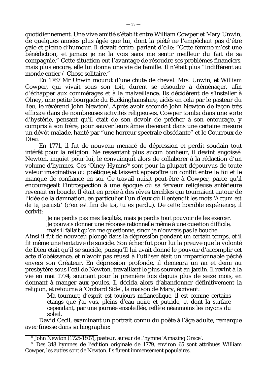quotidiennement. Une vive amitié s'établit entre William Cowper et Mary Unwin, de quelques années plus âgée que lui, dont la piété ne l'empêchait pas d'être gaie et pleine d'humour. Il devait écrire, parlant d'elle: "Cette femme m'est une bénédiction, et jamais je ne la vois sans me sentir meilleur du fait de sa compagnie." Cette situation eut l'avantage de résoudre ses problèmes financiers, mais plus encore, elle lui donna une vie de famille. Il n'était plus "Indifférent au monde entier / Chose solitaire."

En 1767 Mr Unwin mourut d'une chute de cheval. Mrs. Unwin, et William Cowper, qui vivait sous son toit, durent se résoudre à déménager, afin d'échapper aux commérages et à la malveillance. Ils décidèrent de s'installer à Olney, une petite bourgade du Buckinghamshire, aidés en cela par le pasteur du lieu, le révérend John Newton $^{\circ}$ . Après avoir secondé John Newton de façon très efficace dans de nombreuses activités religieuses, Cowper tomba dans une sorte d'hystérie, pensant qu'il était de son devoir de prêcher à son entourage, y compris à son frère, pour sauver leurs âmes devenant dans une certaine mesure un dévôt malade, hanté par "une horreur spectrale obsédante" et le Courroux de Dieu.

En 1771, il fut de nouveau menacé de dépression et perdit soudain tout intérêt pour la religion. Ne ressentant plus aucun bonheur, il devint angoissé. Newton, inquiet pour lui, le convainquit alors de collaborer à la rédaction d'un volume d'hymnes. Ces 'Olney Hymns'<sup>9</sup> sont pour la plupart dépourvus de toute valeur imaginative ou poétique,et laissent apparaître un conflit entre la foi et le manque de confiance en soi. Ce travail nuisit peut-être à Cowper, parce qu'il encourageait l'introspection à une époque où sa ferveur religieuse antérieure revenait en boucle. Il était en proie à des rêves terribles qui tournaient autour de l'idée de la damnation, en particulier l'un d'eux où il entendit les mots '*Actum est de te, periisti*' (c'en est fini de toi, tu es perdu). De cette horrible expérience, il écrivit:

Je ne perdis pas mes facultés, mais je perdis tout pouvoir de les exercer.

Je pouvais donner une réponse rationnelle même à une question difficile,

mais il fallait qu'on me questionne, sinon je n'ouvrais pas la bouche.

Ainsi il fut de nouveau plongé dans la dépression pendant un certain temps, et il fit même une tentative de suicide. Son échec fut pour lui la preuve que la volonté de Dieu était qu'il se suicide, puisqu'Il lui avait donné le pouvoir d'accomplir cet acte d'obéissance, et n'avoir pas réussi à l'utiliser était un impardonnable péché envers son Créateur. En dépression profonde, il demeura un an et demi au presbytère sous l'œil de Newton, travaillant le plus souvent au jardin. Il revint à la vie en mai 1774, souriant pour la première fois depuis plus de seize mois, en donnant à manger aux poules. Il décida alors d'abandonner définitivement la religion, et retourna à 'Orchard Side', la maison de Mary, écrivant:

Ma tournure d'esprit est toujours mélancolique, il est comme certains étangs que j'ai vus, pleins d'eau noire et putride, et dont la surface cependant, par une journée ensoleillée, reflète néanmoins les rayons du soleil.

David Cecil, examinant un portrait connu du poète à l'âge adulte, remarque avec finesse dans sa biographie:

<sup>8</sup> John Newton (1725-1807), pasteur, auteur de l'hymne 'Amazing Grace'.

<sup>9</sup> Des 348 hymnes de l'édition originale de 1779, environ 65 sont attribués William Cowper, les autres sont de Newton. Ils furent immensément populaires.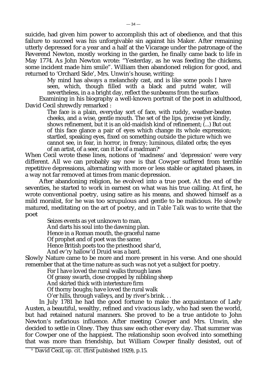suicide, had given him power to accomplish this act of obedience, and that this failure to succeed was his unforgivable sin against his Maker. After remaining utterly depressed for a year and a half at the Vicarage under the patronage of the Reverend Newton, mostly working in the garden, he finally came back to life in May 1774. As John Newton wrote: "Yesterday, as he was feeding the chickens, some incident made him smile". William then abandoned religion for good, and returned to 'Orchard Side', Mrs. Unwin's house, writing:

My mind has always a melancholy cast, and is like some pools I have seen, which, though filled with a black and putrid water, will nevertheless, in a a bright day, reflect the sunbeams from the surface.

Examining in his biography a well-known portrait of the poet in adulthood, David Cecil shrewdly remarked :

> The face is a plain, everyday sort of face, with ruddy, weather-beaten cheeks, and a wise, gentle mouth. The set of the lips, precise yet kindly, shows refinement, but it is an old-maidish kind of refinement; (...) But out of this face glance a pair of eyes which change its whole expression; startled, speaking eyes, fixed on something outside the picture which we cannot see, in fear, in horror, in frenzy; luminous, dilated orbs; the eyes of an artist, of a seer, can it be of a madman?<sup>9</sup>

When Cecil wrote these lines, notions of 'madness' and 'depression' were very different. All we can probably say now is that Cowper suffered from terrible repetitive depressions, alternating with more or less stable or agitated phases, in a way not far removed at times from manic depression.

After abandoning religion, he evolved into a true poet. At the end of the seventies, he started to work in earnest on what was his true calling. At first, he wrote conventional poetry, using satire as his means, and showed himself as a mild moralist, for he was too scrupulous and gentle to be malicious. He slowly matured, meditating on the art of poetry, and in *Table Talk* was to write that the poet

Seizes events as yet unknown to man,

And darts his soul into the dawning plan.

Hence in a Roman mouth, the graceful name

Of prophet and of poet was the same;

Hence British poets too the priesthood shar'd,

And ev'ry hallow'd Druid was a bard.

Slowly Nature came to be more and more present in his verse. And one should remember that at the time nature as such was not yet a subject for poetry.

For I have loved the rural walks through lanes

Of grassy swarth, close cropped by nibbling sheep

And skirted thick with intertexture firm

Of thorny boughs; have loved the rural walk

O'er hills, through valleys, and by river's brink. . .

In July 1781 he had the good fortune to make the acquaintance of Lady Austen, a beautiful, wealthy, refined and vivacious lady, who had seen the world, but had retained natural manners. She proved to be a true antidote to John Newton's nefarious influence. After meeting Cowper and Mrs. Unwin, she decided to settle in Olney. They thus saw each other every day. That summer was for Cowper one of the happiest. The relationship soon evolved into something that was more than friendship, but William Cowper finally desisted, out of

<sup>&</sup>lt;sup>9</sup> David Cecil, *op. cit.* (first published 1929), p.15.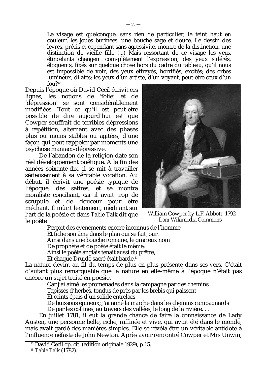Le visage est quelconque, sans rien de particulier, le teint haut en couleur, les joues burinées, une bouche sage et douce. Le dessin des lèvres, précis et cependant sans agressivité, montre de la distinction, une distinction de vieille fille (...) Mais ressortant de ce visage les yeux étincelants changent com-plètement l'expression; des yeux sidérés, éloquents, fixés sur quelque chose hors du cadre du tableau, qu'il nous est impossible de voir, des yeux effrayés, horrifiés, excités; des orbes lumineux, dilatés; les yeux d'un artiste, d'un voyant, peut-être ceux d'un fou? $10$ 

Depuis l'époque où David Cecil écrivit ces lignes, les notions de 'folie' et de 'dépression' se sont considérablement modifiées. Tout ce qu'il est peut-être possible de dire aujourd'hui est que Cowper souffrait de terribles dépressions à répétition, alternant avec des phases plus ou moins stables ou agitées, d'une façon qui peut rappeler par moments une psychose maniaco-dépressive.

De l'abandon de la religion date son réel développement poétique. A la fin des années soixante-dix, il se mit à travailler sérieusement à sa véritable vocation. Au début, il écrivit une poésie typique de l'époque, des satires, et se montra moraliste conciliant, car il avait trop de scrupule et de douceur pour être méchant. Il mûrit lentement, méditant sur l'art de la poésie et dans *Table Talk* dit que le poète



 William Cowper by L.F. Abbott, 1792 *from* Wikimedia Commons

Perçoit des événements encore inconnus de l'homme Et fiche son âme dans le plan qui se fait jour. Ainsi dans une bouche romaine, le gracieux nom De prophète et de poète était le même; Ainsi le poète anglais tenait aussi du prêtre, Et chaque Druide sacré était barde.<sup>11</sup>

La nature devint au fil du temps de plus en plus présente dans ses vers. C'était d'autant plus remarquable que la nature en elle-même à l'époque n'était pas encore un sujet traité en poésie.

Car j'ai aimé les promenades dans la campagne par des chemins

Tapissés d'herbes, tondus de près par les brebis qui paissent

Et ceints épais d'un solide entrelacs

De buissons épineux; j'ai aimé la marche dans les chemins campagnards De par les collines, au travers des vallées, le long de la rivière. . .

En juillet 1781, il eut la grande chance de faire la connaissance de Lady Austen, une personne belle, riche, raffinée et vive, qui avait été dans le monde, mais avait gardé des manières simples. Elle se révéla être un véritable antidote à l'influence néfaste de John Newton. Après avoir rencontré Cowper et Mrs Unwin,

<sup>&</sup>lt;sup>10</sup> David Cecil op. cit. (edition originale 1929), p.15.

<sup>11</sup> *Table Talk* (1782).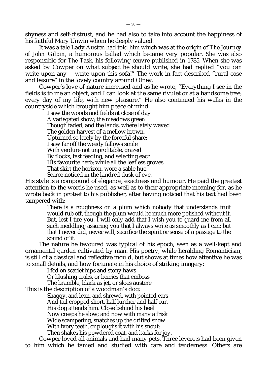shyness and self-distrust, and he had also to take into account the happiness of his faithful Mary Unwin whom he deeply valued.

It was a tale Lady Austen had told him which was at the origin of *The Journey of John Gilpin*, a humorous ballad which became very popular. She was also responsible for *The Task*, his following œuvre published in 1785. When she was asked by Cowper on what subject he should write, she had replied "you can write upon any — write upon this sofa!" The work in fact described "rural ease and leisure" in the lovely country around Olney.

Cowper's love of nature increased and as he wrote, "Everything I see in the fields is to me an object, and I can look at the same rivulet or at a handsome tree, every day of my life, with new pleasure." He also continued his walks in the countryside which brought him peace of mind.

> I saw the woods and fields at close of day A variegated show; the meadows green Though faded; and the lands, where lately waved The golden harvest of a mellow brown, Upturned so lately by the forceful share; I saw far off the weedy fallows smile With verdure not unprofitable, grazed By flocks, fast feeding, and selecting each His favourite herb; while all the leafless groves That skirt the horizon, wore a sable hue, Scarce noticed in the kindred dusk of eve.

His style is a compound of elegance, exactness and humour. He paid the greatest attention to the words he used, as well as to their appropriate meaning for, as he wrote back in protest to his publisher, after having noticed that his text had been tampered with:

There is a roughness on a plum which nobody that understands fruit would rub off, though the plum would be much more polished without it. But, lest I tire you, I will only add that I wish you to guard me from all such meddling; assuring you that I always write as smoothly as I can; but that I never did, never will, sacrifice the spirit or sense of a passage to the sound of it.

The nature he favoured was typical of his epoch, seen as a well-kept and ornamental garden cultivated by man. His poetry, while heralding Romanticism, is still of a classical and reflective mould, but shows at times how attentive he was to small details, and how fortunate in his choice of striking imagery:

I fed on scarlet hips and stony haws

Or blushing crabs, or berries that emboss

The bramble, black as jet, or sloes austere

This is the description of a woodman's dog:

Shaggy, and lean, and shrewd, with pointed ears

And tail cropped short, half lurcher and half cur,

His dog attends him. Close behind his heel

Now creeps he slow; and now with many a frisk

Wide scampering, snatches up the drifted snow

With ivory teeth, or ploughs it with his snout;

Then shakes his powdered coat, and barks for joy.

Cowper loved all animals and had many pets. Three leverets had been given to him which he tamed and studied with care and tenderness. Others are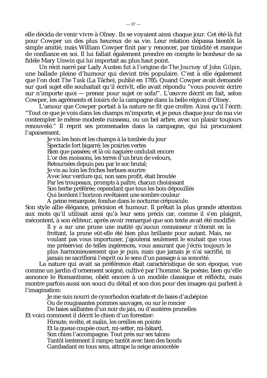elle décida de venir vivre à Olney. Ils se voyaient ainsi chaque jour. Cet été-là fut pour Cowper un des plus heureux de sa vie. Leur relation dépassa bientôt la simple amitié, mais William Cowper finit par y renoncer, par timidité et manque de confiance en soi. Il lui fallait également prendre en compte le bonheur de sa fidèle Mary Unwin qui lui importait au plus haut point.

Un récit narré par Lady Austen fut à l'origine de *The Journey of John Gilpin*, une ballade pleine d'humour qui devint très populaire. C'est à elle également que l'on doit *The Task* (La Tâche), publié en 1785. Quand Cowper avait demandé sur quel sujet elle souhaitait qu'il écrivît, elle avait répondu "vous pouvez écrire sur n'importe quoi — prenez pour sujet ce sofa!". L'œuvre décrit en fait, selon Cowper, les agréments et loisirs de la campagne dans la belle région d'Olney.

L'amour que Cowper portait à la nature ne fit que croître. Ainsi qu'il l'écrit: "Tout ce que je vois dans les champs m'importe, et je peux chaque jour de ma vie contempler le même modeste ruisseau, ou un bel arbre, avec un plaisir toujours renouvelé." Il reprit ses promenades dans la campagne, qui lui procuraient l'apaisement.

Je vis les bois et les champs à la tombée du jour Spectacle fort bigarré; les prairies vertes Bien que passées; et là où naguère ondulait encore L'or des moissons, les terres d'un brun de velours, Retournées depuis peu par le soc brutal; Je vis au loin les friches herbues sourire Avec leur verdure qui, non sans profit, était broutée Par les troupeaux, prompts à paître, chacun choisissant Son herbe préférée; cependant que tous les bois dépouillés Qui bordent l'horizon revêtaient une sombre couleur A peine remarquée, fondue dans le nocturne crépuscule.

Son style allie élégance, précision et humour. Il prêtait la plus grande attention aux mots qu'il utilisait ainsi qu'à leur sens précis car, comme il s'en plaignit, mécontent, à son éditeur, après avoir remarqué que son texte avait été modifié:

Il y a sur une prune une matité qu'aucun connaisseur n'ôterait en la frottant, la prune eût-elle été bien plus brillante pour autant. Mais, ne voulant pas vous importuner, j'ajouterai seulement le souhait que vous me préserviez de telles ingérences, vous assurant que j'écris toujours le plus harmonieusement que je puis; mais que jamais je n'ai sacrifié, ni jamais ne sacrifierai l'esprit ou le sens d'un passage à sa sonorité.

La nature qui avait sa préférence était caractéristique de son époque, vue comme un jardin d'ornement soigné, cultivé par l'homme. Sa poésie, bien qu'elle annonce le Romantisme, obéit encore à un modèle classique et réfléchi, mais montre parfois aussi son souci du détail et son don pour des images qui parlent à l'imagination:

Je me suis nourri de cynorhodon écarlate et de baies d'aubépine Ou de rougissantes pommes sauvages, ou sur le roncier

De baies saillantes d'un noir de jais, ou d'austères prunelles Et voici comment il décrit le chien d'un forestier:

Hirsute, svelte, et malin, les oreilles en pointe Et la queue coupée court, mi-setter, mi-bâtard, Son chien l'accompagne. Tout près sur ses talons Tantôt lentement il rampe; tantôt avec bien des bonds Gambadant en tous sens, attrape la neige amoncelée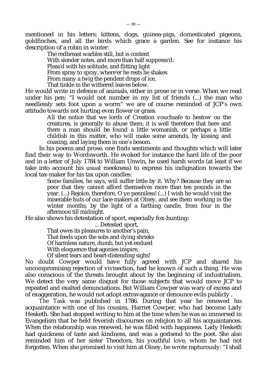mentioned in his letters: kittens, dogs, guinea-pigs, domesticated pigeons, goldfinches, and all the birds which grace a garden. See for instance his description of a robin in winter:

The redbreast warbles still, but is content With slender notes, and more than half suppress'd: Pleas'd with his solitude, and flitting light

From spray to spray, where'er he rests he shakes

From many a twig the pendent drops of ice,

That tinkle in the withered leaves below.

He would write in defence of animals, either in prose or in verse. When we read under his pen: "I would not number in my list of friends (...) the man who needlessly sets foot upon a worm" we are of course reminded of JCP's own attitude towards not hurting even flower or grass.

> All the notice that we lords of Creation vouchsafe to bestow on the creatures, is generally to abuse them; it is well therefore that here and there a man should be found a little womanish, or perhaps a little childish in this matter, who will make some amends, by kissing and coaxing, and laying them in one's bosom.

In his poems and prose, one finds sentiments and thoughts which will later find their way to Wordsworth. He evoked for instance the hard life of the poor and in a letter of July 1784 to William Unwin, he used harsh words (at least if we take into account his usual meekness) to express his indignation towards the local tax-maker for his tax upon candles:

Some families, he says, will suffer little by it. Why? Because they are so poor that they cannot afford themselves more than ten pounds in the year. (...) Rejoice, therefore, O ye penniless! (...) I wish he would visit the miserable huts of our lace-makers at Olney, and see them working in the winter months, by the light of a farthing candle, from four in the afternoon till midnight.

He also shows his detestation of sport, especially fox-hunting:

... Detested sport,

That owes its pleasures to another's pain, That feeds upon the sobs and dying shrieks Of harmless nature, dumb, but yet endued

With eloquence that agonies inspire,

Of silent tears and heart-distending sighs!

No doubt Cowper would have fully agreed with JCP and shared his uncompromising rejection of vivisection, had he known of such a thing. He was also conscious of the threats brought about by the beginning of industrialism. We detect the very same disgust for those subjects that would move JCP to repeated and exalted denunciations. But William Cowper was wary of excess and of exaggeration, he would not adopt extravagance or denounce evils publicly .

*The Task* was published in 1786. During that year he renewed his acquaintance with one of his cousins, Harriet Cowper, who had become Lady Hesketh. She had stopped writing to him at the time when he was so immersed in Evangelism that he held feverish discourses on religion to all his acquaintances. When the relationship was renewed, he was filled with happiness. Lady Hesketh had quickness of taste and kindness, and was a godsend to the poet. She also reminded him of her sister Theodora, his youthful love, whom he had not forgotten. When she promised to visit him at Olney, he wrote rapturously: "I shall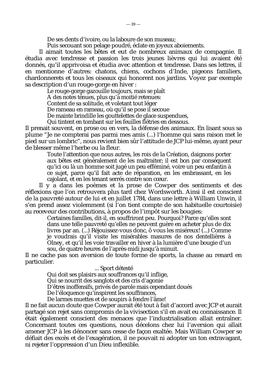De ses dents d'ivoire, ou la laboure de son museau;

Puis secouant son pelage poudré, éclate en joyeux aboiements.

Il aimait toutes les bêtes et eut de nombreux animaux de compagnie. Il étudia avec tendresse et passion les trois jeunes lièvres qui lui avaient été donnés, qu'il apprivoisa et étudia avec attention et tendresse. Dans ses lettres, il en mentionne d'autres: chatons, chiens, cochons d'Inde, pigeons familiers, chardonnerets et tous les oiseaux qui honorent nos jardins. Voyez par exemple sa description d'un rouge-gorge en hiver :

Le rouge-gorge gazouille toujours, mais se plaît

A des notes ténues, plus qu'à moitié retenues:

Content de sa solitude, et voletant tout léger

De rameau en rameau, où qu'il se pose il secoue

De mainte brindille les gouttelettes de glace suspendues,

Qui tintent en tombant sur les feuilles flétries en dessous.

Il prenait souvent, en prose ou en vers, la défense des animaux. En lisant sous sa plume "Je ne compterai pas parmi mes amis (...) l'homme qui sans raison met le pied sur un lombric", nous revient bien sûr l'attitude de JCP lui-même, ayant peur de blesser même l'herbe ou la fleur.

Toute l'attention que nous autres, les rois de la Création, daignons porter aux bêtes est généralement de les maltraiter; il est bon par conséquent qu'ici ou là un homme soit jugé un peu efféminé, voire un peu enfantin à ce sujet, parce qu'il fait acte de réparation, en les embrassant, en les cajolant, et en les tenant serrés contre son cœur.

Il y a dans les poèmes et la prose de Cowper des sentiments et des réflexions que l'on retrouvera plus tard chez Wordsworth. Ainsi il est conscient de la pauvreté autour de lui et en juillet 1784, dans une lettre à William Unwin, il s'en prend assez violemment (si l'on tient compte de son habituelle courtoisie) au receveur des contributions, à propos de l'impôt sur les bougies:

Certaines familles, dit-il, en souffriront peu. Pourquoi? Parce qu'elles sont dans une telle pauvreté qu'elles ne peuvent guère en acheter plus de dix livres par an. (...) Réjouissez-vous donc, ô vous les miséreux! (...) Comme je voudrais qu'il visite les misérables masures de nos dentellières à Olney, et qu'il les voie travailler en hiver à la lumière d'une bougie d'un sou, de quatre heures de l'après-midi jusqu'à minuit.

Il ne cache pas son aversion de toute forme de sports, la chasse au renard en particulier.

#### ... Sport détesté

Qui doit ses plaisirs aux souffrances qu'il inflige,

Qui se nourrit des sanglots et des cris d'agonie

D'êtres inoffensifs, privés de parole mais cependant doués

De l'éloquence qu'inspirent les souffrances.

De larmes muettes et de soupirs à fendre l'âme!

Il ne fait aucun doute que Cowper aurait été tout à fait d'accord avec JCP et aurait partagé son rejet sans compromis de la vivisection s'il en avait eu connaissance. Il était également conscient des menaces que l'industrialisation allait entraîner. Concernant toutes ces questions, nous décelons chez lui l'aversion qui allait amener JCP à les dénoncer sans cesse de façon exaltée. Mais William Cowper se défiait des excès et de l'exagération, il ne pouvait ni adopter un ton extravagant, ni rejeter l'oppression d'un Dieu inflexible.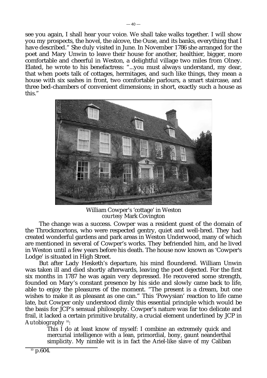see you again, I shall hear your voice. We shall take walks together. I will show you my prospects, the hovel, the alcove, the Ouse, and its banks, everything that I have described." She duly visited in June. In November 1786 she arranged for the poet and Mary Unwin to leave their house for another, healthier, bigger, more comfortable and cheerful in Weston, a delightful village two miles from Olney. Elated, he wrote to his benefactress: "...you must always understand, my dear, that when poets talk of cottages, hermitages, and such like things, they mean a house with six sashes in front, two comfortable parlours, a smart staircase, and three bed-chambers of convenient dimensions; in short, exactly such a house as this."



William Cowper's 'cottage' in Weston *courtesy* Mark Covington

The change was a success. Cowper was a resident guest of the domain of the Throckmortons, who were respected gentry, quiet and well-bred. They had created wonderful gardens and park areas in Weston Underwood, many of which are mentioned in several of Cowper's works. They befriended him, and he lived in Weston until a few years before his death. The house now known as 'Cowper's Lodge' is situated in High Street.

But after Lady Hesketh's departure, his mind floundered. William Unwin was taken ill and died shortly afterwards, leaving the poet dejected. For the first six months in 1787 he was again very depressed. He recovered some strength, founded on Mary's constant presence by his side and slowly came back to life, able to enjoy the pleasures of the moment. "The present is a dream, but one wishes to make it as pleasant as one can." This 'Powysian' reaction to life came late, but Cowper only understood dimly this essential principle which would be the basis for JCP's sensual philosophy. Cowper's nature was far too delicate and frail, it lacked a certain primitive brutality, a crucial element underlined by JCP in *Autobiography* 10:

> This I do at least know of myself: I combine an extremely quick and mercurial intelligence with a lean, primordial, bony, gaunt neanderthal simplicity. My nimble wit is in fact the Ariel-like slave of my Caliban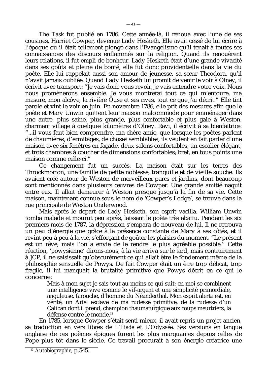*The Task* fut publié en 1786. Cette année-là, il renoua avec l'une de ses cousines, Harriet Cowper, devenue Lady Hesketh. Elle avait cessé de lui écrire à l'époque où il était tellement plongé dans l'Evangélisme qu'il tenait à toutes ses connaissances des discours enflammés sur la religion. Quand ils renouèrent leurs relations, il fut empli de bonheur. Lady Hesketh était d'une grande vivacité dans ses goûts et pleine de bonté, elle fut donc providentielle dans la vie du poète. Elle lui rappelait aussi son amour de jeunesse, sa sœur Theodora, qu'il n'avait jamais oubliée. Quand Lady Hesketh lui promit de venir le voir à Olney, il écrivit avec transport: "Je vais donc vous revoir, je vais entendre votre voix. Nous nous promènerons ensemble. Je vous montrerai tout ce qui m'entoure, ma masure, mon alcôve, la rivière Ouse et ses rives, tout ce que j'ai décrit." Elle tint parole et vint le voir en juin. En novembre 1786, elle prit des mesures afin que le poète et Mary Unwin quittent leur maison malcommode pour emménager dans une autre, plus saine, plus grande, plus confortable et plus gaie à Weston, charmant village à quelques kilomètres d'Olney. Ravi, il écrivit à sa bienfaitrice: "...il vous faut bien comprendre, ma chère amie, que lorsque les poètes parlent de chaumières, d'ermitages, de choses semblables, ils veulent en fait parler d'une maison avec six fenêtres en façade, deux salons confortables, un escalier élégant, et trois chambres à coucher de dimensions confortables; bref, en tous points une maison comme celle-ci."

Ce changement fut un succès. La maison était sur les terres des Throckmorton, une famille de petite noblesse, tranquille et de vieille souche. Ils avaient créé autour de Weston de merveilleux parcs et jardins, dont beaucoup sont mentionnés dans plusieurs œuvres de Cowper. Une grande amitié naquit entre eux. Il allait demeurer à Weston presque jusqu'à la fin de sa vie. Cette maison, maintenant connue sous le nom de 'Cowper's Lodge', se trouve dans la rue principale de Weston Underwood.

Mais après le départ de Lady Hesketh, son esprit vacilla. William Unwin tomba malade et mourut peu après, laissant le poète très abattu. Pendant les six premiers mois de 1787, la dépression s'empara de nouveau de lui. Il ne retrouva un peu d'énergie que grâce à la présence constante de Mary à ses côtés, et il revint peu à peu à la vie, s'efforçant de goûter les plaisirs du moment. "Le présent est un rêve, mais l'on a envie de le rendre le plus agréable possible." Cette réaction, 'powysienne' dirons-nous, à la vie arriva sur le tard, mais contrairement à JCP, il ne saisissait qu'obscurément ce qui allait être le fondement même de la philosophie sensuelle de Powys. De fait Cowper était un être trop délicat, trop fragile, il lui manquait la brutalité primitive que Powys décrit en ce qui le concerne:

Mais à mon sujet je sais tout au moins ce qui suit: en moi se combinent une intelligence vive comme le vif-argent et une simplicité primordiale, anguleuse, farouche, d'homme du Néanderthal. Mon esprit alerte est, en vérité, un Ariel esclave de ma rudesse primitive, de la rudesse d'un Caliban dont il prend, champion thaumaturgique aux coups meurtriers, la défense contre le monde.<sup>12</sup>

En 1785, lorsque Cowper s'était senti mieux, il avait repris un projet ancien, sa traduction en vers libres de *L'Iliade* et *L'Odyssée*. Ses versions en langue anglaise de ces poèmes épiques furent les plus marquantes depuis celles de Pope plus tôt dans le siècle. Ce travail procurait à son énergie créatrice une

<sup>12</sup> *Autobiographie*, p.545.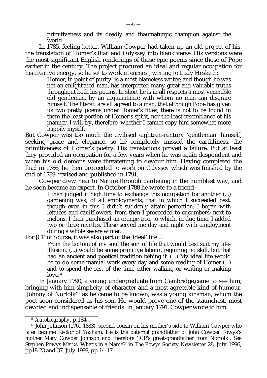primitiveness and its deadly and thaumaturgic champion against the world.

In 1785, feeling better, William Cowper had taken up an old project of his, the translation of Homer's *Iliad* and *Odyssey* into blank verse. His versions were the most significant English renderings of these epic poems since those of Pope earlier in the century. The project procured an ideal and regular occupation for his creative energy, so he set to work in earnest, writing to Lady Hesketh:

Homer, in point of purity, is a most blameless writer; and though he was not an enlightened man, has interpreted many great and valuable truths throughout both his poems. In short he is in all respects a most venerable old gentleman, by an acquaintance with whom no man can disgrace himself. The literati are all agreed to a man, that although Pope has given us two pretty poems under Homer's titles, there is not to be found in them the least portion of Homer's spirit, nor the least resemblance of his manner. I will try, therefore, whether I cannot copy him somewhat more happily myself.

But Cowper was too much the civilised eighteen-century 'gentleman' himself, seeking grace and elegance, so he completely missed the earthliness, the primitiveness of Homer's poetry. His translations proved a failure. But at least they provided an occupation for a few years when he was again despondent and when his old demons were threatening to devour him. Having completed the *Iliad* in 1786, he then proceeded to work on *Odyssey* which was finished by the end of 1789, revised and published in 1791.

Cowper drew near to Nature through gardening in the humblest way, and he soon became an expert. In October 1788 he wrote to a friend:

I then judged it high time to exchange this occupation for another (...) gardening was, of all employments, that in which I succeeded best, though even in this I didn't suddenly attain perfection. I began with lettuces and cauliflowers; from then I proceeded to cucumbers; next to melons. I then purchased an orange-tree, to which, in due time, I added two or three myrtles. These served me day and night with employment during a whole severe winter.

For JCP of course, it was also part of the 'ideal' life ...

From the bottom of my soul the sort of life that would best suit my lifeillusion, (...) would be some primitive labour, requiring no skill, but that had an ancient and poetical tradition behing it.  $(\cdot \cdot \cdot)$  My ideal life would be to do *some* manual work every day and some reading of Homer (...) and to spend the rest of the time either walking or writing or making  $\log e^{11}$ 

In January 1790, a young undergraduate from Cambridge,came to see him, bringing with him simplicity of character and a most agreeable kind of humour. 'Johnny of Norfolk'12 as he came to be known, was a young kinsman, whom the poet soon considered as his son. He would prove one of the staunchest, most devoted and indispensable of friends. In January 1791, Cowper wrote to him:

<sup>11</sup> *Autobiography*, p.184.

 $12$  John Johnson (1769-1833), second cousin on his mother's side to William Cowper who later became Rector of Yaxham. He is the paternal grandfather of John Cowper Powys's mother Mary Cowper Johnson and therefore 'JCP's great-grandfather from Norfolk'. See Stephen Powys Marks 'What's in a Name?' in *The Powys Society Newsletter* 28, July 1996, pp18-23 and 37, July 1999, pp.14-17..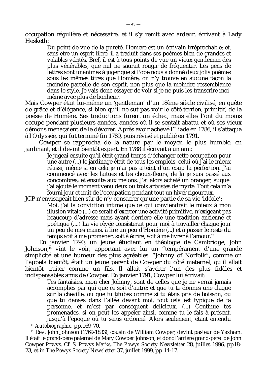occupation régulière et nécessaire, et il s'y remit avec ardeur, écrivant à Lady Hesketh:

Du point de vue de la pureté, Homère est un écrivain irréprochable; et, sans être un esprit libre, il a traduit dans ses poèmes bien de grandes et valables vérités. Bref, il est à tous points de vue un vieux gentleman des plus vénérables, que nul ne saurait rougir de fréquenter. Les gens de lettres sont unanimes à juger que si Pope nous a donné deux jolis poèmes sous les mêmes titres que Homère, on n'y trouve en aucune façon la moindre parcelle de son esprit, non plus que la moindre ressemblance dans le style. Je vais donc essayer de voir si je ne puis les transcrire moimême avec plus de bonheur.

Mais Cowper était lui-même un 'gentleman' d'un 18ème siècle civilisé, en quête de grâce et d'élégance, si bien qu'il ne sut pas voir le côté terrien, primitif, de la poésie de Homère. Ses traductions furent un échec, mais elles l'ont du moins occupé pendant plusieurs années, années où il se sentait abattu et où ses vieux démons menaçaient de le dévorer. Après avoir achevé l'*Iliade* en 1786, il s'attaqua à l'*Odyssée,* qui fut terminé fin 1789, puis révisé et publié en 1791.

Cowper se rapprocha de la nature par le moyen le plus humble, en jardinant, et il devint bientôt expert. En 1788 il écrivait à un ami:

Je jugeai ensuite qu'il était grand temps d'échanger cette occupation pour une autre (...) le jardinage était de tous les emplois, celui où j'ai le mieux réussi, même si en cela je n'ai pas atteint d'un coup la perfection. J'ai commencé avec les laitues et les choux-fleurs, de là je suis passé aux concombres; et ensuite aux melons. J'ai alors acheté un oranger, auquel j'ai ajouté le moment venu deux ou trois arbustes de myrte. Tout cela m'a fourni jour et nuit de l'occupation pendant tout un hiver rigoureux.

JCP n'envisageait bien sûr de n'y consacrer qu'une partie de sa vie 'idéale': Moi, j'ai la conviction intime que ce qui conviendrait le mieux à mon illusion vitale (...) ce serait d'exercer une activité primitive, n'exigeant pas beaucoup d'adresse mais ayant derrière elle une tradition ancienne et poétique (....) La vie rêvée consisterait pour moi à travailler chaque jour un peu de mes mains, à lire un peu d'Homère (...) et à passer le reste du temps soit à me promener, soit à écrire, soit à me livrer à l'amour.<sup>13</sup>

En janvier 1790, un jeune étudiant en théologie de Cambridge, John Johnson,<sup>14</sup> vint le voir, apportant avec lui un "tempérament d'une grande simplicité et une humeur des plus agréables. "Johnny of Norfolk", comme on l'appela bientôt, était un jeune parent de Cowper du côté maternel, qu'il allait bientôt traiter comme un fils. Il allait s'avérer l'un des plus fidèles et indispensables amis de Cowper. En janvier 1791, Cowper lui écrivait:

Tes fantaisies, mon cher Johnny, sont de celles que je ne verrai jamais accomplies par qui que ce soit d'autre; et que tu te donnes une claque sur la cheville, ou que tu titubes comme si tu étais pris de boisson, ou que tu danses dans l'allée devant moi, tout cela est typique de ta personne, et m'est par conséquent délicieux. (...) Continue tes promenades, si on peut les appeler ainsi, comme tu le fais à présent, jusqu'à l'époque où tu seras ordonné. Alors seulement, étant entendu

<sup>13</sup> *Autobiographie*, pp.169-70.

<sup>&</sup>lt;sup>14</sup> Rev. John Johnson (1769-1833), cousin de William Cowper, devint pasteur de Yaxham. Il était le grand-père paternel de Mary Cowper Johnson, et donc l'arrière grand-père de John Cowper Powys. Cf. S. Powys Marks, *The Powys Society Newsletter* 28, juillet 1996, pp18- 23, et in *The Powys Society Newsletter* 37, juillet 1999, pp.14-17.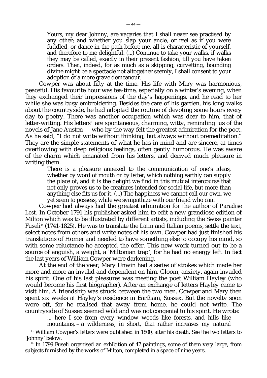Yours, my dear Johnny, are vagaries that I shall never see practised by any other; and whether you slap your ancle, or reel as if you were fuddled, or dance in the path before me, all is characteristic of yourself, and therefore to me delightful. (...) Continue to take your walks, if walks they may be called, exactly in their present fashion, till you have taken orders. Then, indeed, for as much as a skipping, curvetting, bounding divine might be a spectacle not altogether seemly, I shall consent to your adoption of a more grave demeanour.

Cowper was about fifty at the time. His life with Mary was harmonious, peaceful. His favourite hour was tea-time, especially on a winter's evening, when they exchanged their impressions of the day's happenings, and he read to her while she was busy embroidering. Besides the care of his garden, his long walks about the countryside, he had adopted the routine of devoting some hours every day to poetry. There was another occupation which was dear to him, that of letter-writing. His letters<sup>13</sup> are spontaneous, charming, witty, reminding us of the novels of Jane Austen — who by the way felt the greatest admiration for the poet. As he said, "I do not write without thinking, but always without premeditation." They are the simple statements of what he has in mind and are sincere, at times overflowing with deep religious feelings, often gently humorous. He was aware of the charm which emanated from his letters, and derived much pleasure in writing them.

There is a pleasure annexed to the communication of one's ideas, whether by word of mouth or by letter, which nothing earthly can supply the place of, and it is the delight we find in this mutual intercourse that not only proves us to be creatures intended for social life, but more than anything else fits us for it. (...) The happiness we cannot call our own, we yet seem to possess, while we sympathize with our friend who can.

Cowper had always had the greatest admiration for the author of *Paradise Lost*. In October 1791 his publisher asked him to edit a new grandiose edition of Milton which was to be illustrated by different artists, including the Swiss painter Fuseli<sup>14</sup> (1741-1825). He was to translate the Latin and Italian poems, settle the text, select notes from others and write notes of his own. Cowper had just finished his translations of Homer and needed to have something else to occupy his mind, so with some reluctance he accepted the offer. This new work turned out to be a source of anguish, a weight, a 'Miltonian trap', for he had no energy left. In fact the last years of William Cowper were darkening.

At the end of the year, Mary Unwin had a series of strokes which made her more and more an invalid and dependent on him. Gloom, anxiety, again invaded his spirit. One of his last pleasures was meeting the poet William Hayley (who would become his first biographer). After an exchange of letters Hayley came to visit him. A friendship was struck between the two men. Cowper and Mary then spent six weeks at Hayley's residence in Eartham, Sussex. But the novelty soon wore off, for he realised that away from home, he could not write. The countryside of Sussex seemed wild and was not congenial to his spirit. He wrote:

... here I see from every window woods like forests, and hills like mountains, – a wilderness, in short, that rather increases my natural

<sup>&</sup>lt;sup>13</sup> William Cowper's letters were published in 1800, after his death. See the two letters to 'Johnny' below.

<sup>&</sup>lt;sup>14</sup> In 1799 Fuseli organised an exhibition of 47 paintings, some of them very large, from subjects furnished by the works of Milton, completed in a space of nine years.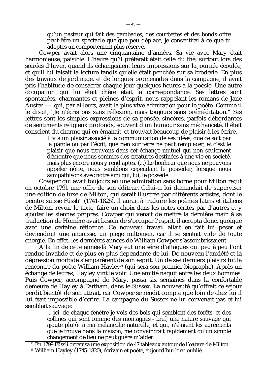qu'un pasteur qui fait des gambades, des courbettes et des bonds offre peut-être un spectacle quelque peu déplacé, je consentirai à ce que tu adoptes un comportement plus réservé.

Cowper avait alors une cinquantaine d'années. Sa vie avec Mary était harmonieuse, paisible. L'heure qu'il préférait était celle du thé, surtout lors des soirées d'hiver, quand ils échangeaient leurs impressions sur la journée écoulée, et qu'il lui faisait la lecture tandis qu'elle était penchée sur sa broderie. En plus des travaux de jardinage, et de longues promenades dans la campagne, il avait pris l'habitude de consacrer chaque jour quelques heures à la poésie. Une autre occupation qui lui était chère était la correspondance. Ses lettres sont spontanées, charmantes et pleines d'esprit, nous rappelant les romans de Jane Austen — qui, par ailleurs, avait la plus vive admiration pour le poète. Comme il le disait, "Je n'écris pas sans réflexion, mais toujours sans préméditation." Ses lettres sont les simples expressions de sa pensée, sincères, parfois débordantes de sentiments religieux profonds, souvent d'un humour sans méchanceté. Il était conscient du charme qui en émanait, et trouvait beaucoup de plaisir à les écrire.

> Il y a un plaisir associé à la communication de ses idées, que ce soit par la parole ou par l'écrit, que rien sur terre ne peut remplacer, et c'est le plaisir que nous trouvons dans cet échange mutuel qui non seulement démontre que nous sommes des créatures destinées à une vie en société, mais plus encore nous y rend aptes. (...) Le bonheur que nous ne pouvons appeler nôtre, nous semblons cependant le posséder, lorsque nous sympathisons avec notre ami qui, lui, le possède.

Cowper qui avait toujours eu une admiration sans borne pour Milton reçut en octobre 1791 une offre de son éditeur. Celui-ci lui demandait de superviser une édition de luxe de Milton, qui serait illustrée par différents artistes, dont le peintre suisse Füssli<sup>15</sup> (1741-1825). Il aurait à traduire les poèmes latins et italiens de Milton, revoir le texte, faire un choix dans les notes écrites par d'autres et y ajouter les siennes propres. Cowper qui venait de mettre la dernière main à sa traduction de Homère avait besoin de s'occuper l'esprit, il accepta donc, quoique avec une certaine réticence. Ce nouveau travail allait en fait lui peser et deviendrait une angoisse, un piège miltonien, car il se sentait vide de toute énergie. En effet, les dernières années de William Cowper s'assombrissaient.

A la fin de cette année-là Mary eut une série d'attaques qui peu à peu l'ont rendue invalide et de plus en plus dépendante de lui. De nouveau l'anxiété et la dépression morbide s'emparèrent de son esprit. Un de ses derniers plaisirs fut la rencontre du poète William Hayley<sup>16</sup> (qui sera son premier biographe). Après un échange de lettres, Hayley vint le voir. Une amitié naquit entre les deux hommes. Puis Cowper, accompagné de Mary, passa six semaines dans la confortable demeure de Hayley à Eartham, dans le Sussex. La nouveauté qu'offrait ce séjour perdit bientôt de son attrait, car Cowper se rendit compte que loin de chez lui il lui était impossible d'écrire. La campagne du Sussex ne lui convenait pas et lui semblait sauvage:

> ... ici, de chaque fenêtre je vois des bois qui semblent des forêts, et des collines qui sont comme des montagnes – bref, une nature sauvage qui ajoute plutôt à ma mélancolie naturelle, et qui, n'étaient les agréments que je trouve dans la maison, me convaincrait rapidement qu'un simple changement de lieu ne peut guère m'aider.

<sup>&</sup>lt;sup>15</sup> En 1799 Füssli organisa une exposition de 47 tableaux autour de l'œuvre de Milton. <sup>16</sup> William Hayley (1745-1820), écrivain et poète, aujourd'hui bien oublié.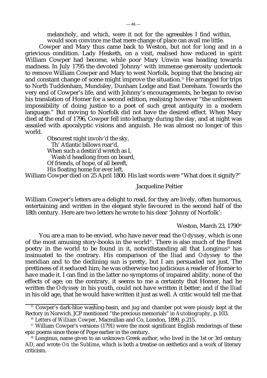melancholy, and which, were it not for the agreeables I find within, would soon convince me that mere change of place can avail me little.

Cowper and Mary thus came back to Weston, but not for long and in a grievious condition. Lady Hesketh, on a visit, realised how reduced in spirit William Cowper had become, while poor Mary Unwin was heading towards madness. In July 1795 the devoted 'Johnny' with immense generosity undertook to remove William Cowper and Mary to west Norfolk, hoping that the bracing air and constant change of scene might improve the situation.<sup>15</sup> He arranged for trips to North Tuddenham, Mundsley, Dunham Lodge and East Dereham. Towards the very end of Cowper's life, and with Johnny's encouragements, he began to revise his translation of Homer for a second edition, realising however "the unforeseen impossibility of doing justice to a poet of such great antiquity in a modern language." But moving to Norfolk did not have the desired effect. When Mary died at the end of 1796, Cowper fell into lethargy during the day, and at night was assailed with apocalyptic visions and anguish. He was almost no longer of this world.

Obscurest night involv'd the sky, Th' Atlantic billows roar'd, When such a destin'd wretch as I, Wash'd headlong from on board, Of friends, of hope, of all bereft, His floating home for ever left.

William Cowper died on 25 April 1800. His last words were "What does it signify?"

## Jacqueline Peltier

William Cowper's letters are a delight to read, for they are lively, often humorous, entertaining and written in the elegant style favoured in the second half of the 18th century. Here are two letters he wrote to his dear 'Johnny of Norfolk':

Weston, March 23, 1790<sup>16</sup>

You are a man to be envied, who have never read the *Odyssey*, which is one of the most amusing story-books in the world<sup>17</sup>. There is also much of the finest poetry in the world to be found in it, notwithstanding all that Longinus<sup>18</sup> has insinuated to the contrary. His comparison of the *Iliad* and *Odyssey* to the meridian and to the declining sun is pretty, but I am persuaded not just. The prettiness of it seduced him; he was otherwise too judicious a reader of Homer to have made it. I can find in the latter no symptoms of impaired ability, none of the effects of age; on the contrary, it seems to me a certainty that Homer, had he written the *Odyssey* in his youth, could not have written it better; and if the *Iliad* in his old age, that he would have written it just as well. A critic would tell me that

<sup>&</sup>lt;sup>15</sup> Cowper's dark-blue washing-basin, and jug and chamber pot were piously kept at the Rectory in Norwich. JCP mentioned "the precious memorials" in *Autobiography*, p.103.

<sup>&</sup>lt;sup>16</sup> Letters of William Cowper, Macmillan and Co, London, 1899, p.215.

<sup>&</sup>lt;sup>17</sup> William Cowper's versions (1791) were the most significant English renderings of these epic poems since those of Pope earlier in the century.

<sup>&</sup>lt;sup>18</sup> Longinus, name given to an unknown Greek author, who lived in the 1st or 3rd century AD, and wrote *On the Sublime*, which is both a treatise on æsthetics and a work of literary criticism.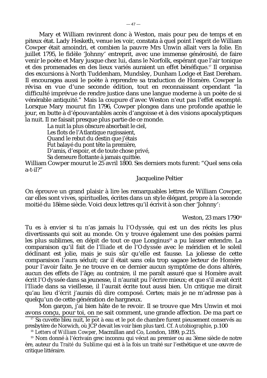Mary et William revinrent donc à Weston, mais pour peu de temps et en piteux état. Lady Hesketh, venue les voir, constata à quel point l'esprit de William Cowper était amoindri, et combien la pauvre Mrs Unwin allait vers la folie. En juillet 1795, le fidèle 'Johnny' entreprit, avec une immense générosité, de faire venir le poète et Mary jusque chez lui, dans le Norfolk, espérant que l'air tonique et des promenades en des lieux variés auraient un effet bénéfique.17 Il organisa des excursions à North Tuddenham, Mundsley, Dunham Lodge et East Dereham. Il encouragea aussi le poète à reprendre sa traduction de Homère. Cowper la révisa en vue d'une seconde édition, tout en reconnaissant cependant "la difficulté imprévue de rendre justice dans une langue moderne à un poète de si vénérable antiquité." Mais la coupure d'avec Weston n'eut pas l'effet escompté. Lorsque Mary mourut fin 1796, Cowper plongea dans une profonde apathie le jour, en butte à d'épouvantables accès d'angoisse et à des visions apocalyptiques la nuit. Il ne faisait presque plus partie de ce monde.

La nuit la plus obscure absorbait le ciel, Les flots de l'Atlantique rugissaient, Quand le rebut du destin que j'étais Fut balayé du pont tête la première, D'amis, d'espoir, et de toute chose privé,

Sa demeure flottante à jamais quittée. William Cowper mourut le 25 avril 1800. Ses derniers mots furent: "Quel sens cela a-t-il?"

### Jacqueline Peltier

On éprouve un grand plaisir à lire les remarquables lettres de William Cowper, car elles sont vives, spirituelles, écrites dans un style élégant, propre à la seconde moitié du 18ème siècle. Voici deux lettres qu'il écrivit à son cher 'Johnny':

#### Weston, 23 mars 1790<sup>18</sup>

Tu es à envier si tu n'as jamais lu l'*Odyssée*, qui est un des récits les plus divertissants qui soit au monde. On y trouve également une des poésies parmi les plus sublimes, en dépit de tout ce que Longinus<sup>19</sup> a pu laisser entendre. La comparaison qu'il fait de l'*Iliade* et de l'*Odyssée* avec le méridien et le soleil déclinant est jolie, mais je suis sûr qu'elle est fausse. La joliesse de cette comparaison l'aura séduit; car il était sans cela trop sagace lecteur de Homère pour l'avoir faite. Je ne trouve en ce dernier aucun symptôme de dons altérés, aucun des effets de l'âge; au contraire, il me paraît assuré que si Homère avait écrit l'*Odyssée* dans sa jeunesse, il n'aurait pu l'écrire mieux; et que s'il avait écrit l'*Iliade* dans sa vieillesse, il l'aurait écrite tout aussi bien. Un critique me dirait qu'au lieu d'*écrit* j'aurais dû dire *composé*. Certes; mais je ne m'adresse pas à quelqu'un de cette génération de hargneux.

Mon garçon, j'ai bien hâte de te revoir. Il se trouve que Mrs Unwin et moi avons conçu, pour toi, on ne sait comment, une grande affection. De ma part ce

 $17$  Sa cuvette bleu nuit, le pot à eau et le pot de chambre furent pieusement conservés au presbytère de Norwich, où JCP devait les voir bien plus tard. Cf. *Autobiographie*, p.100

<sup>18</sup> Letters of William Cowper, Macmillan and Co, London, 1899, p.215.

<sup>19</sup> Nom donné à l'écrivain grec inconnu qui vécut au premier ou au 3ème siècle de notre ère, auteur du *Traité du Sublime* qui est à la fois un traité sur l'esthétique et une œuvre de critique littéraire.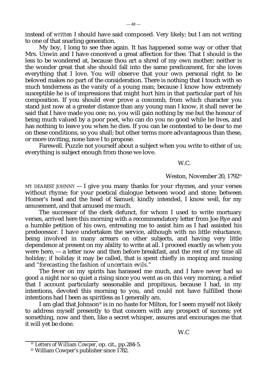instead of *written* I should have said *composed*. Very likely; but I am not writing to one of that snarling generation.

My boy, I long to see thee again. It has happened some way or other that Mrs. Unwin and I have conceived a great affection for thee. That I should is the less to be wondered at, because thou art a shred of my own mother; neither is the wonder great that she should fall into the same predicament, for she loves everything that I love. You will observe that your own personal right to be beloved makes no part of the consideration. There is nothing that I touch with so much tenderness as the vanity of a young man; because I know how extremely susceptible he is of impressions that might hurt him in that particular part of his composition. If you should ever prove a coxcomb, from which character you stand just now at a greater distance than any young man I know, it shall never be said that I have made you one; no, you will gain nothing by me but the honour of being much valued by a poor poet, who can do you no good while he lives, and has nothing to leave you when he dies. If you can be contented to be dear to me on these conditions, so you shall; but other terms more advantageous than these, or more inviting, none have I to propose.

Farewell. Puzzle not yourself about a subject when you write to either of us; everything is subject enough from those we love.

W.C.

Weston, November 20, 1792<sup>19</sup>

MY DEAREST JOHNNY — I give you many thanks for your rhymes, and your verses without rhyme; for your poetical dialogue between wood and stone; between Homer's head and the head of Samuel; kindly intended, I know well, for my amusement, and that amused me much.

The successor of the clerk defunct, for whom I used to write mortuary verses, arrived here this morning with a recommendatory letter from Joe Rye and a humble petition of his own, entreating me to assist him as I had assisted his predecessor. I have undertaken the service, although with no little reluctance, being involved in many arrears on other subjects, and having very little dependence at present on my ability to write at all. I proceed exactly as when you were here, — a letter now and then before breakfast, and the rest of my time all holiday; if holiday it may be called, that is spent chiefly in moping and musing and "*forecasting the fashion of uncertain evils.*"

The fever on my spirits has harassed me much, and I have never had so good a night nor so quiet a rising since you went as on this very morning, a relief that I account particularly seasonable and propitious, because I had, in my intentions, devoted this morning to you, and could not have fulfilled those intentions had I been as spiritless as I generally am.

I am glad that Johnson<sup>20</sup> is in no haste for Milton, for I seem myself not likely to address myself presently to that concern with any prospect of success; yet something, now and then, like a secret whisper, assures and encourages me that it will yet be done.

W<sub>C</sub>

<sup>19</sup> *Letters of William Cowper*, op. cit., pp.284-5.

<sup>20</sup> William Cowper's publisher since 1782.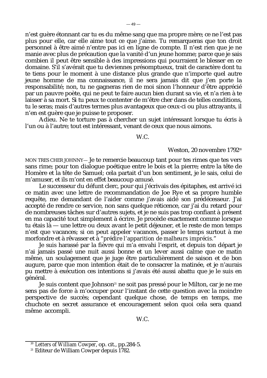n'est guère étonnant car tu es du même sang que ma propre mère; ce ne l'est pas plus pour elle, car elle aime tout ce que j'aime. Tu remarqueras que ton droit personnel à être aimé n'entre pas ici en ligne de compte. Il n'est rien que je ne manie avec plus de précaution que la vanité d'un jeune homme; parce que je sais combien il peut être sensible à des impressions qui pourraient le blesser en ce domaine. S'il s'avérait que tu deviennes présomptueux, trait de caractère dont tu te tiens pour le moment à une distance plus grande que n'importe quel autre jeune homme de ma connaissance, il ne sera jamais dit que j'en porte la responsabilité; non, tu ne gagneras rien de moi sinon l'honneur d'être apprécié par un pauvre poète, qui ne peut te faire aucun bien durant sa vie, et n'a rien à te laisser à sa mort. Si tu peux te contenter de m'être cher dans de telles conditions, tu le seras; mais d'autres termes plus avantageux que ceux-ci ou plus attrayants, il n'en est guère que je puisse te proposer.

Adieu. Ne te torture pas à chercher un sujet intéressant lorsque tu écris à l'un ou à l'autre; tout est intéressant, venant de ceux que nous aimons.

W.C.

Weston, 20 novembre 1792<sup>20</sup>

MON TRES CHER JOHNNY— Je te remercie beaucoup tant pour tes rimes que tes vers sans rime; pour ton dialogue poétique entre le bois et la pierre; entre la tête de Homère et la tête de Samuel; cela partait d'un bon sentiment, je le sais, celui de m'amuser, et ils m'ont en effet beaucoup amusé.

Le successeur du défunt clerc, pour qui j'écrivais des épitaphes, est arrivé ici ce matin avec une lettre de recommandation de Joe Rye et sa propre humble requête, me demandant de l'aider comme j'avais aidé son prédécesseur. J'ai accepté de rendre ce service, non sans quelque réticence, car j'ai du retard pour de nombreuses tâches sur d'autres sujets, et je ne suis pas trop confiant à présent en ma capacité tout simplement à écrire. Je procède exactement comme lorsque tu étais là — une lettre ou deux avant le petit déjeuner, et le reste de mon temps n'est que vacances; si on peut appeler vacances, passer le temps surtout à me morfondre et à rêvasser et à "*prédire l'apparition de malheurs imprécis.*"

Je suis harassé par la fièvre qui m'a envahi l'esprit, et depuis ton départ je n'ai jamais passé une nuit aussi bonne et un lever aussi calme que ce matin même, un soulagement que je juge être particulièrement de saison et de bon augure, parce que mon intention était de te consacrer la matinée, et je n'aurais pu mettre à exécution ces intentions si j'avais été aussi abattu que je le suis en général.

Je suis content que Johnson<sup>21</sup> ne soit pas pressé pour le Milton, car je ne me sens pas de force à m'occuper pour l'instant de cette question avec la moindre perspective de succès; cependant quelque chose, de temps en temps, me chuchote en secret assurance et encouragement selon quoi cela sera quand même accompli.

W.C.

<sup>20</sup> *Letters of William Cowper*, op. cit., pp.284-5.

<sup>21</sup> Editeur de William Cowper depuis 1782.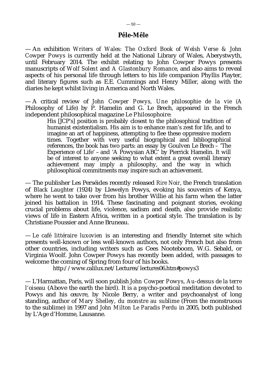## **Pêle-Mêle**

— An exhibition *Writers of Wales: The Oxford Book of Welsh Verse & John Cowper Powys* is currently held at the National Library of Wales, Aberystwyth, until February 2014. The exhibit relating to John Cowper Powys presents manuscripts of *Wolf Solent* and *A Glastonbury Romance*, and also aims to reveal aspects of his personal life through letters to his life companion Phyllis Playter, and literary figures such as E.E. Cummings and Henry Miller, along with the diaries he kept whilst living in America and North Wales.

— A critical review of *John Cowper Powys, Une philosophie de la vie* (A Philosophy of Life) by P. Hamelin and G. Le Brech, appeared in the French independent philosophical magazine *Le Philosophoire*:

His [JCP's] position is probably closest to the philosophical tradition of humanist existentialism. His aim is to enhance man's zest for life, and to imagine an art of happiness, attempting to flee these oppressive modern times. Together with very useful biographical and bibliographical references, the book has two parts: an essay by Goulven Le Brech – 'The Experience of Life' – and 'A Powysian ABC' by Pierrick Hamelin. It will be of interest to anyone seeking to what extent a great overall literary achievement may imply a philosophy, and the way in which philosophical commitments may inspire such an achievement.

— The publisher Les Perséides recently released *Rire Noir*, the French translation of *Black Laughter* (1924) by Llewelyn Powys, evoking his souvenirs of Kenya, where he went to take over from his brother Willie at his farm when the latter joined his battalion in 1914. These fascinating and poignant stories, evoking crucial problems about life, violence, sadism and death, also provide realistic views of life in Eastern Africa, written in a poetical style. The translation is by Christiane Poussier and Anne Bruneau.

— *Le café littéraire luxovien* is an interesting and friendly Internet site which presents well-known or less well-known authors, not only French but also from other countries, including writers such as Cees Nooteboom, W.G. Sebald, or Virginia Woolf. John Cowper Powys has recently been added, with passages to welcome the coming of Spring from four of his books.

<http://www.calilux.net/Lectures/lectures06.htm#powys3>

— L'Harmattan, Paris, will soon publish *John Cowper Powys*, *Au-dessus de la terre l'oiseau* (Above the earth the bird). It is a psycho-poetical meditation devoted to Powys and his œuvre, by Nicole Berry, a writer and psychoanalyst of long standing, author of *Mary Shelley, du monstre au sublime* (From the monstruous to the sublime) in 1997 and *John Milton Le Paradis Perdu* in 2005, both published by L'Age d'Homme, Lausanne.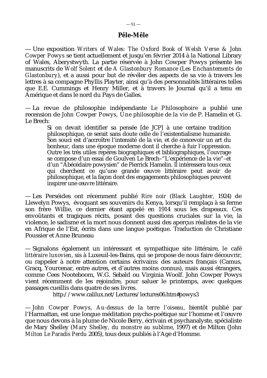## **Pêle-Mêle**

— Une exposition *Writers of Wales: The Oxford Book of Welsh Verse & John Cowper Powys* se tient actuellement et jusqu'en février 2014 à la National Library of Wales, Aberystwyth. La partie réservée à John Cowper Powys présente les manuscrits de *Wolf Solent* et de *A Glastonbury Romance* (*Les Enchantements de Glastonbury*), et a aussi pour but de révéler des aspects de sa vie à travers les lettres à sa compagne Phyllis Playter, ainsi qu'à des personnalités littéraires telles que E.E. Cummings et Henry Miller, et à travers le Journal qu'il a tenu en Amérique et dans le nord du Pays de Galles.

— La revue de philosophie indépendante *Le Philosophoire* a publié une recension de *John Cowper Powys, Une philosophie de la vie* de P. Hamelin et G. Le Brech:

Si on devait identifier sa pensée [de JCP] à une certaine tradition philosophique, ce serait sans doute celle de l'existentialisme humaniste. Son souci est d'accroître l'intensité de la vie, et de concevoir un art du bonheur, dans une époque moderne dont il cherche à fuir l'oppression. Outre les très utiles repères biographiques et bibliographiques, l'ouvrage se compose d'un essai de Goulven Le Brech–"L'expérience de la vie"–et d'un "Abécédaire powysien" de Pierrick Hamelin. Il intéressera tous ceux qui cherchent ce qu'une grande œuvre littéraire peut avoir de philosophique, et la façon dont des engagements philosophiques peuvent inspirer une œuvre littéraire.

— Les Perséides ont récemment publié *Rire noir* (*Black Laughter*, 1924) de Llewelyn Powys, évoquant ses souvenirs du Kenya, lorsqu'il remplaça à sa ferme son frère Willie, ce dernier étant appelé en 1914 sous les drapeaux. Ces envoûtants et tragiques récits, posant des questions cruciales sur la vie, la violence, le sadisme et la mort nous donnent aussi des aperçus réalistes de la vie en Afrique de l'Est, écrits dans une langue poétique. Traduction de Christiane Poussier et Anne Bruneau

— Signalons également un intéressant et sympathique site littéraire, *le café littéraire luxovien*, sis à Luxeuil-les-Bains, qui se propose de nous faire découvrir, ou rappeler à notre attention certains écrivains: des auteurs français (Camus, Gracq, Yourcenar, entre autres, et d'autres moins connus), mais aussi étrangers, comme Cees Nooteboom, W.G. Sebald ou Virginia Woolf. John Cowper Powys vient récemment de les rejoindre, pour saluer le printemps, avec quelques passages cueillis dans quatre de ses livres.

<http://www.calilux.net/Lectures/lectures06.htm#powys3>

— *John Cowper Powys*, *Au-dessus de la terre l'oiseau*, bientôt publié par l'Harmattan, est une longue méditation psycho-poétique sur l'homme et l'œuvre que nous devons à la plume de Nicole Berry, écrivain et psychanalyste, spécialiste de Mary Shelley (*Mary Shelley, du monstre au sublime*, 1997) et de Milton (*John Milton Le Paradis Perdu* 2005), tous deux publiés à l'Age d'Homme.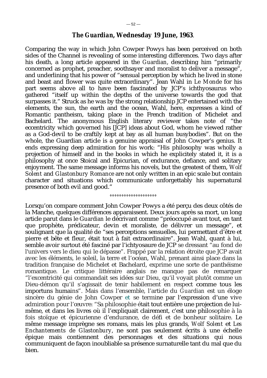## **The** *Guardian***, Wednesday 19 June, 1963**.

Comparing the way in which John Cowper Powys has been perceived on both sides of the Channel is revealing of some interesting differences. Two days after his death, a long article appeared in the *Guardian*, describing him "primarily concerned as prophet, preacher, soothsayer and moralist to deliver a message", and underlining that his power of "sensual perception by which he lived in stone and beast and flower was quite extraordinary". Jean Wahl in *Le Monde* for his part seems above all to have been fascinated by JCP's ichthyosaurus who gathered "itself up within the depths of the universe towards the god that surpasses it." Struck as he was by the strong relationship JCP entertained with the elements, the sun, the earth and the ocean, Wahl, here, expresses a kind of Romantic pantheism, taking place in the French tradition of Michelet and Bachelard. The anonymous English literary reviewer takes note of "the eccentricity which governed his [JCP] ideas about God, whom he viewed rather as a God-devil to be craftily kept at bay as all human busybodies". But on the whole, the Guardian article is a genuine appraisal of John Cowper's genius. It ends expressing deep admiration for his work: "His philosophy was wholly a projection of himself and in the books in which he explicitely stated it, it is a philosophy at once Stoical and Epicurian, of endurance, defiance, and solitary enjoyment. The same message informs his novels, but the greatest of them, *Wolf Solent* and *Glastonbury Romance* are not only written in an epic scale but contain character and situations which communicate unforgettably his supernatural presence of both evil and good."

*°°°°°°°°°°°°°°°°°°°°*

Lorsqu'on compare comment John Cowper Powys a été perçu des deux côtés de la Manche, quelques différences apparaissent. Deux jours après sa mort, un long article parut dans le G*uardian* le décrivant comme "préoccupé avant tout, en tant que prophète, prédicateur, devin et moraliste, de délivrer un message", et soulignant que la qualité de "ses perceptions sensuelles, lui permettant d'être et pierre et bête et fleur, était tout à fait extraordinaire". Jean Wahl, quant à lui, semble avoir surtout été fasciné par l'ichtyosaure de JCP se dressant "au fond de l'univers vers le dieu qui le dépasse". Frappé par la relation étroite que JCP avait avec les éléments, le soleil, la terre et l'océan, Wahl, prenant ainsi place dans la tradition française de Michelet et Bachelard, exprime une sorte de panthéisme romantique. Le critique littéraire anglais ne manque pas de remarquer "l'excentricité qui commandait ses idées sur Dieu, qu'il voyait plutôt comme un Dieu-démon qu'il s'agissait de tenir habilement en respect comme tous les importuns humains". Mais dans l'ensemble, l'article du *Guardian* est un éloge sincère du génie de John Cowper et se termine par l'expression d'une vive admiration pour l'œuvre: "Sa philosophie était tout entière une projection de luimême, et dans les livres où il l'expliquait clairement, c'est une philosophie à la fois stoïque et épicurienne d'endurance, de défi et de bonheur solitaire. Le même message imprègne ses romans, mais les plus grands, *Wolf Solent* et *Les Enchantements de Glastonbury*, ne sont pas seulement écrits à une échelle épique mais contiennent des personnages et des situations qui nous communiquent de façon inoubliable sa présence surnaturelle tant du mal que du bien.